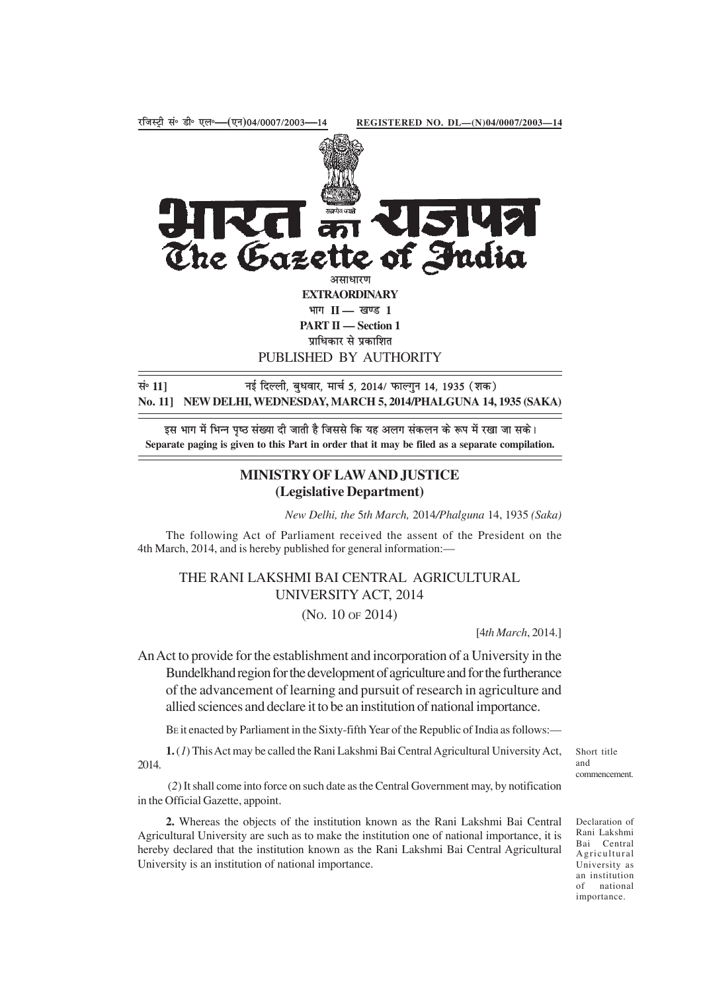

**EXTRAORDINARY** भाग II — खण्ड 1

**PART II — Section 1**

प्राधिकार से प्रकाशित

PUBLISHED BY AUTHORITY

lañ **11]** ubZ fnYyh] cq/kokj] ekpZ 5] 2014@ QkYxqu 14] 1935 ¼'kd½ **No. 11] NEW DELHI, WEDNESDAY, MARCH 5, 2014/PHALGUNA 14, 1935 (SAKA)**

इस भाग में भिन्न पष्ठ संख्या दी जाती है जिससे कि यह अलग संकलन के रूप में रखा जा सके। **Separate paging is given to this Part in order that it may be filed as a separate compilation.**

# **MINISTRY OF LAW AND JUSTICE (Legislative Department)**

*New Delhi, the* 5*th March,* 2014*/Phalguna* 14, 1935 *(Saka)*

The following Act of Parliament received the assent of the President on the 4th March, 2014, and is hereby published for general information:—

THE RANI LAKSHMI BAI CENTRAL AGRICULTURAL UNIVERSITY ACT, 2014

(NO. 10 OF 2014)

[4*th March*, 2014.]

An Act to provide for the establishment and incorporation of a University in the Bundelkhand region for the development of agriculture and for the furtherance of the advancement of learning and pursuit of research in agriculture and allied sciences and declare it to be an institution of national importance.

BE it enacted by Parliament in the Sixty-fifth Year of the Republic of India as follows:—

**1.** (*1*) This Act may be called the Rani Lakshmi Bai Central Agricultural University Act, 2014.

Short title and commencement.

 (*2*) It shall come into force on such date as the Central Government may, by notification in the Official Gazette, appoint.

**2.** Whereas the objects of the institution known as the Rani Lakshmi Bai Central Agricultural University are such as to make the institution one of national importance, it is hereby declared that the institution known as the Rani Lakshmi Bai Central Agricultural University is an institution of national importance.

Declaration of Rani Lakshmi Bai Central Agricultural University as an institution of national importance.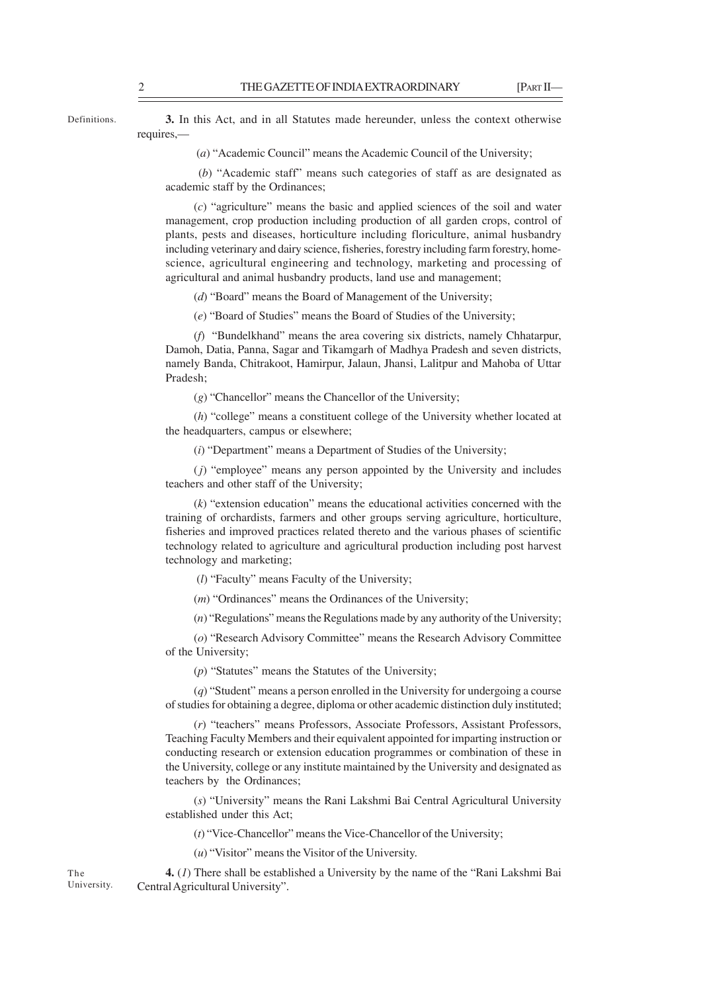Definitions.

**3.** In this Act, and in all Statutes made hereunder, unless the context otherwise requires,—

(*a*) "Academic Council" means the Academic Council of the University;

 (*b*) "Academic staff" means such categories of staff as are designated as academic staff by the Ordinances;

(*c*) "agriculture" means the basic and applied sciences of the soil and water management, crop production including production of all garden crops, control of plants, pests and diseases, horticulture including floriculture, animal husbandry including veterinary and dairy science, fisheries, forestry including farm forestry, homescience, agricultural engineering and technology, marketing and processing of agricultural and animal husbandry products, land use and management;

(*d*) "Board" means the Board of Management of the University;

(*e*) "Board of Studies" means the Board of Studies of the University;

(*f*) "Bundelkhand" means the area covering six districts, namely Chhatarpur, Damoh, Datia, Panna, Sagar and Tikamgarh of Madhya Pradesh and seven districts, namely Banda, Chitrakoot, Hamirpur, Jalaun, Jhansi, Lalitpur and Mahoba of Uttar Pradesh;

(*g*) "Chancellor" means the Chancellor of the University;

(*h*) "college" means a constituent college of the University whether located at the headquarters, campus or elsewhere;

(*i*) "Department" means a Department of Studies of the University;

(*j*) "employee" means any person appointed by the University and includes teachers and other staff of the University;

(*k*) "extension education" means the educational activities concerned with the training of orchardists, farmers and other groups serving agriculture, horticulture, fisheries and improved practices related thereto and the various phases of scientific technology related to agriculture and agricultural production including post harvest technology and marketing;

(*l*) "Faculty" means Faculty of the University;

(*m*) "Ordinances" means the Ordinances of the University;

(*n*) "Regulations" means the Regulations made by any authority of the University;

(*o*) "Research Advisory Committee" means the Research Advisory Committee of the University;

(*p*) "Statutes" means the Statutes of the University;

(*q*) "Student" means a person enrolled in the University for undergoing a course of studies for obtaining a degree, diploma or other academic distinction duly instituted;

(*r*) "teachers" means Professors, Associate Professors, Assistant Professors, Teaching Faculty Members and their equivalent appointed for imparting instruction or conducting research or extension education programmes or combination of these in the University, college or any institute maintained by the University and designated as teachers by the Ordinances;

(*s*) "University" means the Rani Lakshmi Bai Central Agricultural University established under this Act;

(*t*) "Vice-Chancellor" means the Vice-Chancellor of the University;

(*u*) "Visitor" means the Visitor of the University.

**4.** (*1*) There shall be established a University by the name of the "Rani Lakshmi Bai Central Agricultural University".

The University.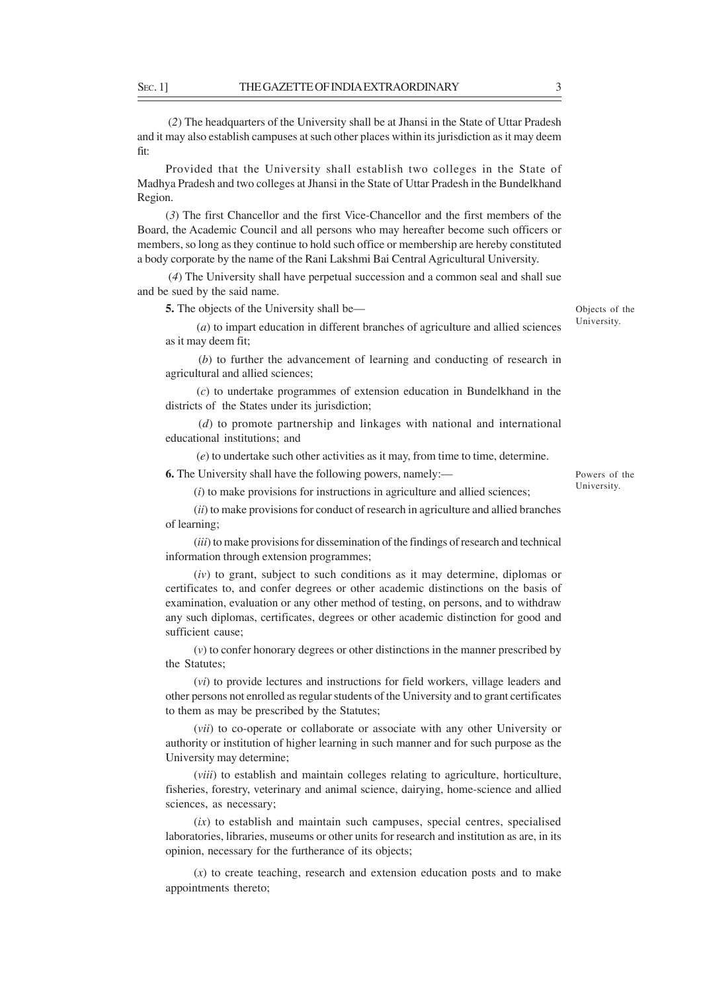(*2*) The headquarters of the University shall be at Jhansi in the State of Uttar Pradesh and it may also establish campuses at such other places within its jurisdiction as it may deem fit:

Provided that the University shall establish two colleges in the State of Madhya Pradesh and two colleges at Jhansi in the State of Uttar Pradesh in the Bundelkhand Region.

(*3*) The first Chancellor and the first Vice-Chancellor and the first members of the Board, the Academic Council and all persons who may hereafter become such officers or members, so long as they continue to hold such office or membership are hereby constituted a body corporate by the name of the Rani Lakshmi Bai Central Agricultural University.

 (*4*) The University shall have perpetual succession and a common seal and shall sue and be sued by the said name.

**5.** The objects of the University shall be—

 (*a*) to impart education in different branches of agriculture and allied sciences as it may deem fit; University.

 (*b*) to further the advancement of learning and conducting of research in agricultural and allied sciences;

(*c*) to undertake programmes of extension education in Bundelkhand in the districts of the States under its jurisdiction;

 (*d*) to promote partnership and linkages with national and international educational institutions; and

(*e*) to undertake such other activities as it may, from time to time, determine.

**6.** The University shall have the following powers, namely:—

(*i*) to make provisions for instructions in agriculture and allied sciences;

(*ii*) to make provisions for conduct of research in agriculture and allied branches of learning;

(*iii*) to make provisions for dissemination of the findings of research and technical information through extension programmes;

(*iv*) to grant, subject to such conditions as it may determine, diplomas or certificates to, and confer degrees or other academic distinctions on the basis of examination, evaluation or any other method of testing, on persons, and to withdraw any such diplomas, certificates, degrees or other academic distinction for good and sufficient cause;

(*v*) to confer honorary degrees or other distinctions in the manner prescribed by the Statutes;

(*vi*) to provide lectures and instructions for field workers, village leaders and other persons not enrolled as regular students of the University and to grant certificates to them as may be prescribed by the Statutes;

(*vii*) to co-operate or collaborate or associate with any other University or authority or institution of higher learning in such manner and for such purpose as the University may determine;

(*viii*) to establish and maintain colleges relating to agriculture, horticulture, fisheries, forestry, veterinary and animal science, dairying, home-science and allied sciences, as necessary;

(*ix*) to establish and maintain such campuses, special centres, specialised laboratories, libraries, museums or other units for research and institution as are, in its opinion, necessary for the furtherance of its objects;

(*x*) to create teaching, research and extension education posts and to make appointments thereto;

Powers of the

University.

Objects of the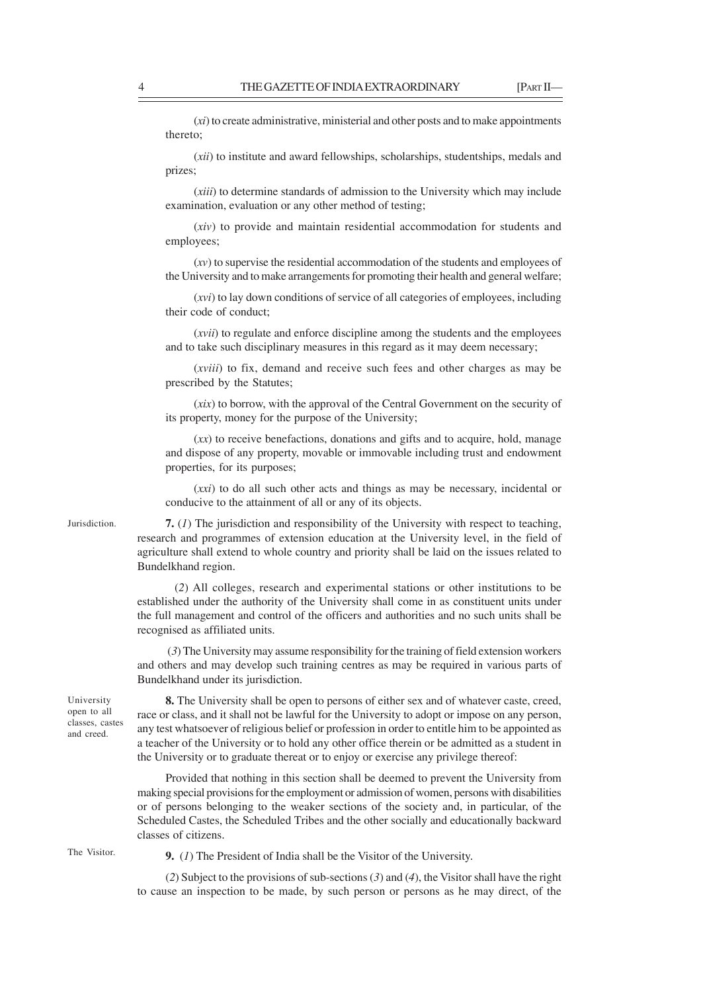(*xi*) to create administrative, ministerial and other posts and to make appointments thereto;

(*xii*) to institute and award fellowships, scholarships, studentships, medals and prizes;

(*xiii*) to determine standards of admission to the University which may include examination, evaluation or any other method of testing;

(*xiv*) to provide and maintain residential accommodation for students and employees;

(*xv*) to supervise the residential accommodation of the students and employees of the University and to make arrangements for promoting their health and general welfare;

(*xvi*) to lay down conditions of service of all categories of employees, including their code of conduct;

(*xvii*) to regulate and enforce discipline among the students and the employees and to take such disciplinary measures in this regard as it may deem necessary;

(*xviii*) to fix, demand and receive such fees and other charges as may be prescribed by the Statutes;

(*xix*) to borrow, with the approval of the Central Government on the security of its property, money for the purpose of the University;

(*xx*) to receive benefactions, donations and gifts and to acquire, hold, manage and dispose of any property, movable or immovable including trust and endowment properties, for its purposes;

(*xxi*) to do all such other acts and things as may be necessary, incidental or conducive to the attainment of all or any of its objects.

Jurisdiction.

**7.** (*1*) The jurisdiction and responsibility of the University with respect to teaching, research and programmes of extension education at the University level, in the field of agriculture shall extend to whole country and priority shall be laid on the issues related to Bundelkhand region.

 (*2*) All colleges, research and experimental stations or other institutions to be established under the authority of the University shall come in as constituent units under the full management and control of the officers and authorities and no such units shall be recognised as affiliated units.

 (*3*) The University may assume responsibility for the training of field extension workers and others and may develop such training centres as may be required in various parts of Bundelkhand under its jurisdiction.

University open to all classes, castes and creed.

**8.** The University shall be open to persons of either sex and of whatever caste, creed, race or class, and it shall not be lawful for the University to adopt or impose on any person, any test whatsoever of religious belief or profession in order to entitle him to be appointed as a teacher of the University or to hold any other office therein or be admitted as a student in the University or to graduate thereat or to enjoy or exercise any privilege thereof:

Provided that nothing in this section shall be deemed to prevent the University from making special provisions for the employment or admission of women, persons with disabilities or of persons belonging to the weaker sections of the society and, in particular, of the Scheduled Castes, the Scheduled Tribes and the other socially and educationally backward classes of citizens.

The Visitor.

**9.** (*1*) The President of India shall be the Visitor of the University.

(*2*) Subject to the provisions of sub-sections (*3*) and (*4*), the Visitor shall have the right to cause an inspection to be made, by such person or persons as he may direct, of the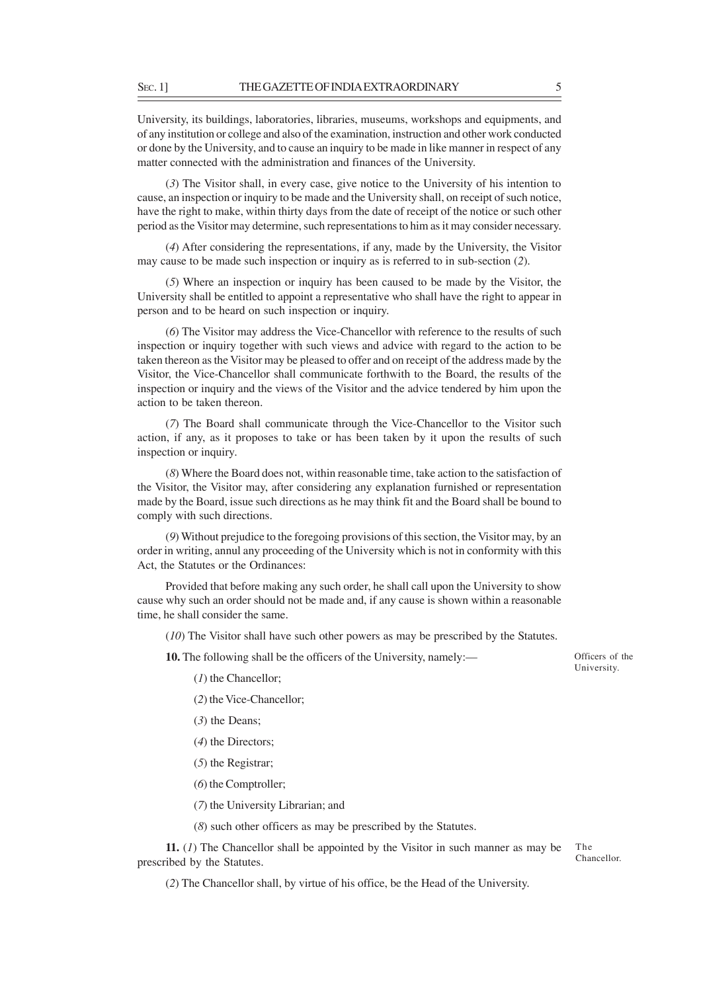University, its buildings, laboratories, libraries, museums, workshops and equipments, and of any institution or college and also of the examination, instruction and other work conducted or done by the University, and to cause an inquiry to be made in like manner in respect of any matter connected with the administration and finances of the University.

(*3*) The Visitor shall, in every case, give notice to the University of his intention to cause, an inspection or inquiry to be made and the University shall, on receipt of such notice, have the right to make, within thirty days from the date of receipt of the notice or such other period as the Visitor may determine, such representations to him as it may consider necessary.

(*4*) After considering the representations, if any, made by the University, the Visitor may cause to be made such inspection or inquiry as is referred to in sub-section (*2*).

(*5*) Where an inspection or inquiry has been caused to be made by the Visitor, the University shall be entitled to appoint a representative who shall have the right to appear in person and to be heard on such inspection or inquiry.

(*6*) The Visitor may address the Vice-Chancellor with reference to the results of such inspection or inquiry together with such views and advice with regard to the action to be taken thereon as the Visitor may be pleased to offer and on receipt of the address made by the Visitor, the Vice-Chancellor shall communicate forthwith to the Board, the results of the inspection or inquiry and the views of the Visitor and the advice tendered by him upon the action to be taken thereon.

(*7*) The Board shall communicate through the Vice-Chancellor to the Visitor such action, if any, as it proposes to take or has been taken by it upon the results of such inspection or inquiry.

(*8*) Where the Board does not, within reasonable time, take action to the satisfaction of the Visitor, the Visitor may, after considering any explanation furnished or representation made by the Board, issue such directions as he may think fit and the Board shall be bound to comply with such directions.

(*9*) Without prejudice to the foregoing provisions of this section, the Visitor may, by an order in writing, annul any proceeding of the University which is not in conformity with this Act, the Statutes or the Ordinances:

Provided that before making any such order, he shall call upon the University to show cause why such an order should not be made and, if any cause is shown within a reasonable time, he shall consider the same.

(*10*) The Visitor shall have such other powers as may be prescribed by the Statutes.

**10.** The following shall be the officers of the University, namely:—

Officers of the University.

(*1*) the Chancellor;

- (*2*) the Vice-Chancellor;
- (*3*) the Deans;
- (*4*) the Directors;
- (*5*) the Registrar;
- (*6*) the Comptroller;
- (*7*) the University Librarian; and

(*8*) such other officers as may be prescribed by the Statutes.

**11.** (*1*) The Chancellor shall be appointed by the Visitor in such manner as may be prescribed by the Statutes. The Chancellor.

(*2*) The Chancellor shall, by virtue of his office, be the Head of the University.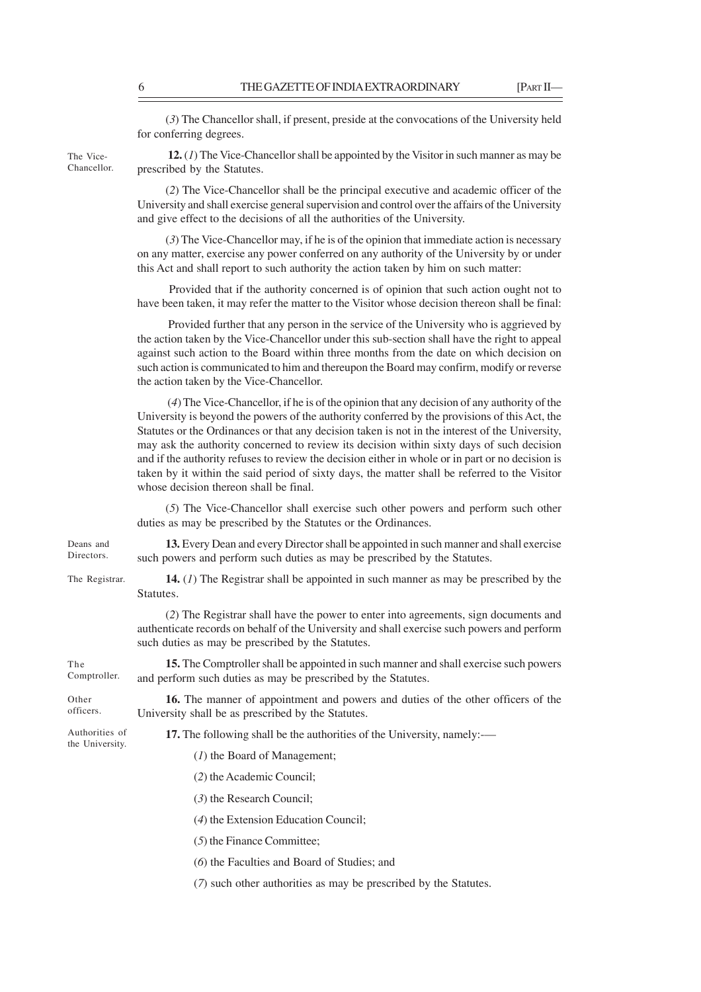(*3*) The Chancellor shall, if present, preside at the convocations of the University held for conferring degrees.

The Vice-Chancellor.

**12.** (*1*) The Vice-Chancellor shall be appointed by the Visitor in such manner as may be prescribed by the Statutes.

(*2*) The Vice-Chancellor shall be the principal executive and academic officer of the University and shall exercise general supervision and control over the affairs of the University and give effect to the decisions of all the authorities of the University.

(*3*) The Vice-Chancellor may, if he is of the opinion that immediate action is necessary on any matter, exercise any power conferred on any authority of the University by or under this Act and shall report to such authority the action taken by him on such matter:

 Provided that if the authority concerned is of opinion that such action ought not to have been taken, it may refer the matter to the Visitor whose decision thereon shall be final:

 Provided further that any person in the service of the University who is aggrieved by the action taken by the Vice-Chancellor under this sub-section shall have the right to appeal against such action to the Board within three months from the date on which decision on such action is communicated to him and thereupon the Board may confirm, modify or reverse the action taken by the Vice-Chancellor.

 (*4*) The Vice-Chancellor, if he is of the opinion that any decision of any authority of the University is beyond the powers of the authority conferred by the provisions of this Act, the Statutes or the Ordinances or that any decision taken is not in the interest of the University, may ask the authority concerned to review its decision within sixty days of such decision and if the authority refuses to review the decision either in whole or in part or no decision is taken by it within the said period of sixty days, the matter shall be referred to the Visitor whose decision thereon shall be final.

(*5*) The Vice-Chancellor shall exercise such other powers and perform such other duties as may be prescribed by the Statutes or the Ordinances.

Deans and **Directors** 

**13.** Every Dean and every Director shall be appointed in such manner and shall exercise such powers and perform such duties as may be prescribed by the Statutes.

The Registrar.

**14.** (*1*) The Registrar shall be appointed in such manner as may be prescribed by the Statutes.

(*2*) The Registrar shall have the power to enter into agreements, sign documents and authenticate records on behalf of the University and shall exercise such powers and perform such duties as may be prescribed by the Statutes.

**15.** The Comptroller shall be appointed in such manner and shall exercise such powers and perform such duties as may be prescribed by the Statutes. The Comptroller.

Other officers.

**16.** The manner of appointment and powers and duties of the other officers of the University shall be as prescribed by the Statutes.

Authorities of the University.

- **17.** The following shall be the authorities of the University, namely:-—
	- (*1*) the Board of Management;
	- (*2*) the Academic Council;
	- (*3*) the Research Council;
	- (*4*) the Extension Education Council;
	- (*5*) the Finance Committee;
	- (*6*) the Faculties and Board of Studies; and
	- (*7*) such other authorities as may be prescribed by the Statutes.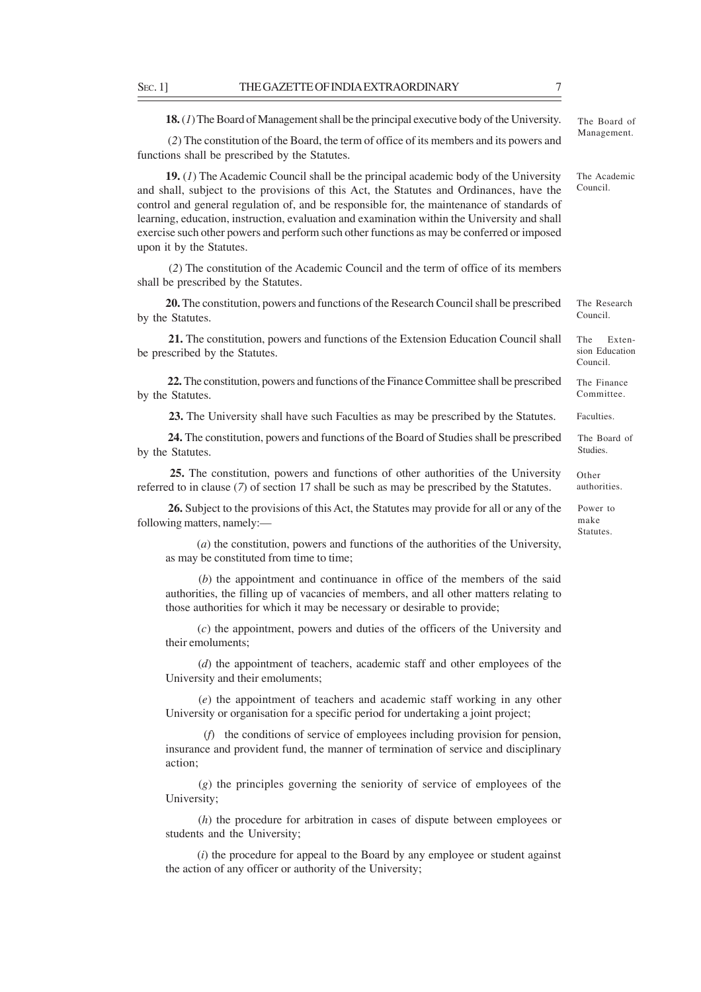**18.** (*1*) The Board of Management shall be the principal executive body of the University.

 (*2*) The constitution of the Board, the term of office of its members and its powers and functions shall be prescribed by the Statutes.

**19.** (*1*) The Academic Council shall be the principal academic body of the University and shall, subject to the provisions of this Act, the Statutes and Ordinances, have the control and general regulation of, and be responsible for, the maintenance of standards of learning, education, instruction, evaluation and examination within the University and shall exercise such other powers and perform such other functions as may be conferred or imposed upon it by the Statutes.

 (*2*) The constitution of the Academic Council and the term of office of its members shall be prescribed by the Statutes.

**20.** The constitution, powers and functions of the Research Council shall be prescribed by the Statutes.

**21.** The constitution, powers and functions of the Extension Education Council shall be prescribed by the Statutes.

**22.** The constitution, powers and functions of the Finance Committee shall be prescribed by the Statutes.

**23.** The University shall have such Faculties as may be prescribed by the Statutes.

**24.** The constitution, powers and functions of the Board of Studies shall be prescribed by the Statutes.

**25.** The constitution, powers and functions of other authorities of the University referred to in clause (*7*) of section 17 shall be such as may be prescribed by the Statutes.

**26.** Subject to the provisions of this Act, the Statutes may provide for all or any of the following matters, namely:—

 (*a*) the constitution, powers and functions of the authorities of the University, as may be constituted from time to time;

 (*b*) the appointment and continuance in office of the members of the said authorities, the filling up of vacancies of members, and all other matters relating to those authorities for which it may be necessary or desirable to provide;

 (*c*) the appointment, powers and duties of the officers of the University and their emoluments;

 (*d*) the appointment of teachers, academic staff and other employees of the University and their emoluments;

 (*e*) the appointment of teachers and academic staff working in any other University or organisation for a specific period for undertaking a joint project;

 (*f*) the conditions of service of employees including provision for pension, insurance and provident fund, the manner of termination of service and disciplinary action;

 (*g*) the principles governing the seniority of service of employees of the University;

 (*h*) the procedure for arbitration in cases of dispute between employees or students and the University;

 (*i*) the procedure for appeal to the Board by any employee or student against the action of any officer or authority of the University;

The Board of Management.

The Academic Council.

The Research Council.

The Extension Education Council.

The Finance Committee.

Faculties.

The Board of Studies.

authorities.

Statutes.

Other Power to make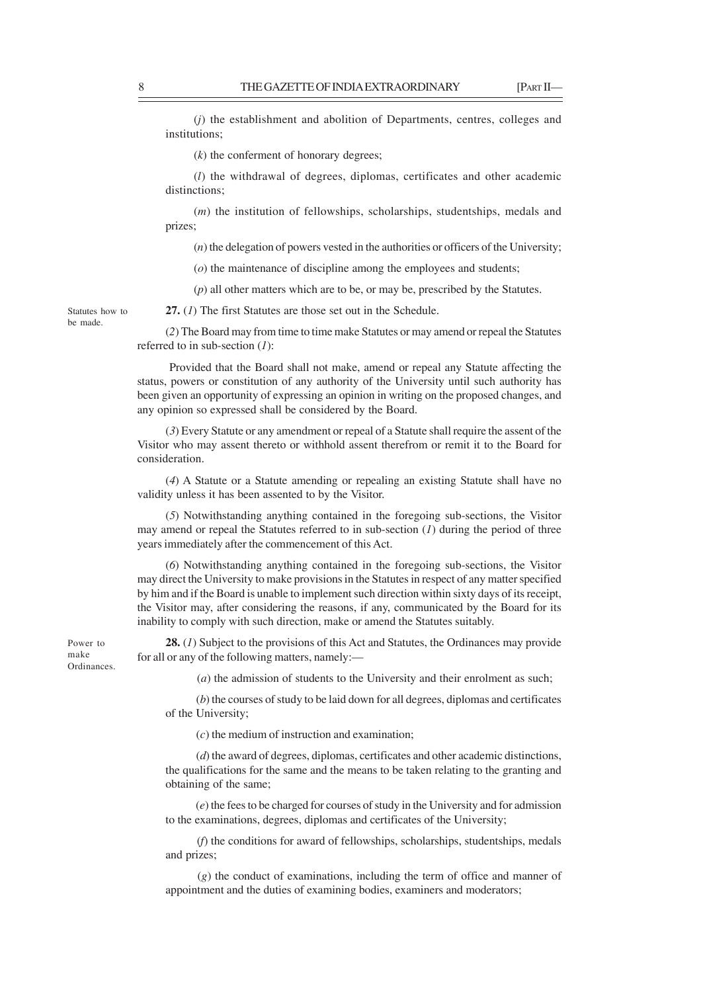(*j*) the establishment and abolition of Departments, centres, colleges and institutions;

(*k*) the conferment of honorary degrees;

(*l*) the withdrawal of degrees, diplomas, certificates and other academic distinctions;

(*m*) the institution of fellowships, scholarships, studentships, medals and prizes;

(*n*) the delegation of powers vested in the authorities or officers of the University;

(*o*) the maintenance of discipline among the employees and students;

(*p*) all other matters which are to be, or may be, prescribed by the Statutes.

**27.** (*1*) The first Statutes are those set out in the Schedule.

(*2*) The Board may from time to time make Statutes or may amend or repeal the Statutes referred to in sub-section (*1*):

 Provided that the Board shall not make, amend or repeal any Statute affecting the status, powers or constitution of any authority of the University until such authority has been given an opportunity of expressing an opinion in writing on the proposed changes, and any opinion so expressed shall be considered by the Board.

(*3*) Every Statute or any amendment or repeal of a Statute shall require the assent of the Visitor who may assent thereto or withhold assent therefrom or remit it to the Board for consideration.

(*4*) A Statute or a Statute amending or repealing an existing Statute shall have no validity unless it has been assented to by the Visitor.

(*5*) Notwithstanding anything contained in the foregoing sub-sections, the Visitor may amend or repeal the Statutes referred to in sub-section (*1*) during the period of three years immediately after the commencement of this Act.

(*6*) Notwithstanding anything contained in the foregoing sub-sections, the Visitor may direct the University to make provisions in the Statutes in respect of any matter specified by him and if the Board is unable to implement such direction within sixty days of its receipt, the Visitor may, after considering the reasons, if any, communicated by the Board for its inability to comply with such direction, make or amend the Statutes suitably.

Power to make Ordinances.

**28.** (*1*) Subject to the provisions of this Act and Statutes, the Ordinances may provide for all or any of the following matters, namely:—

(*a*) the admission of students to the University and their enrolment as such;

 (*b*) the courses of study to be laid down for all degrees, diplomas and certificates of the University;

(*c*) the medium of instruction and examination;

 (*d*) the award of degrees, diplomas, certificates and other academic distinctions, the qualifications for the same and the means to be taken relating to the granting and obtaining of the same;

 (*e*) the fees to be charged for courses of study in the University and for admission to the examinations, degrees, diplomas and certificates of the University;

 (*f*) the conditions for award of fellowships, scholarships, studentships, medals and prizes;

 (*g*) the conduct of examinations, including the term of office and manner of appointment and the duties of examining bodies, examiners and moderators;

Statutes how to be made.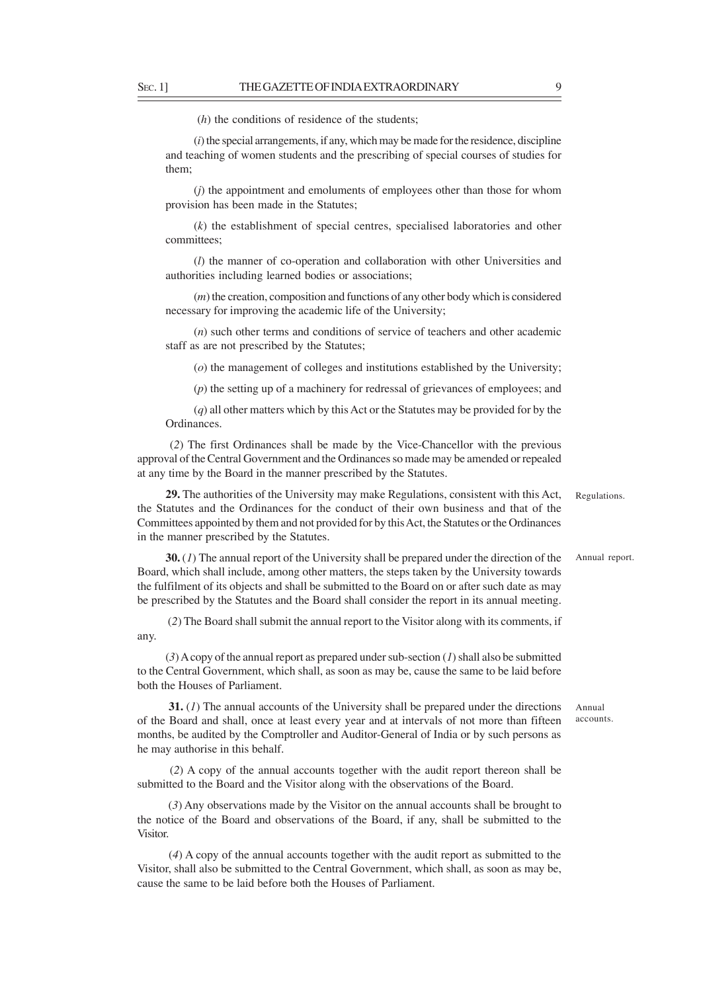(*h*) the conditions of residence of the students;

(*i*) the special arrangements, if any, which may be made for the residence, discipline and teaching of women students and the prescribing of special courses of studies for them;

(*j*) the appointment and emoluments of employees other than those for whom provision has been made in the Statutes;

(*k*) the establishment of special centres, specialised laboratories and other committees;

(*l*) the manner of co-operation and collaboration with other Universities and authorities including learned bodies or associations;

(*m*) the creation, composition and functions of any other body which is considered necessary for improving the academic life of the University;

(*n*) such other terms and conditions of service of teachers and other academic staff as are not prescribed by the Statutes;

(*o*) the management of colleges and institutions established by the University;

(*p*) the setting up of a machinery for redressal of grievances of employees; and

(*q*) all other matters which by this Act or the Statutes may be provided for by the Ordinances.

 (*2*) The first Ordinances shall be made by the Vice-Chancellor with the previous approval of the Central Government and the Ordinances so made may be amended or repealed at any time by the Board in the manner prescribed by the Statutes.

**29.** The authorities of the University may make Regulations, consistent with this Act, the Statutes and the Ordinances for the conduct of their own business and that of the Committees appointed by them and not provided for by this Act, the Statutes or the Ordinances in the manner prescribed by the Statutes. Regulations.

**30.** (*1*) The annual report of the University shall be prepared under the direction of the Board, which shall include, among other matters, the steps taken by the University towards the fulfilment of its objects and shall be submitted to the Board on or after such date as may be prescribed by the Statutes and the Board shall consider the report in its annual meeting. Annual report.

 (*2*) The Board shall submit the annual report to the Visitor along with its comments, if any.

(*3*) A copy of the annual report as prepared under sub-section (*1*) shall also be submitted to the Central Government, which shall, as soon as may be, cause the same to be laid before both the Houses of Parliament.

**31.** (*1*) The annual accounts of the University shall be prepared under the directions of the Board and shall, once at least every year and at intervals of not more than fifteen months, be audited by the Comptroller and Auditor-General of India or by such persons as he may authorise in this behalf.

 (*2*) A copy of the annual accounts together with the audit report thereon shall be submitted to the Board and the Visitor along with the observations of the Board.

 (*3*) Any observations made by the Visitor on the annual accounts shall be brought to the notice of the Board and observations of the Board, if any, shall be submitted to the Visitor.

 (*4*) A copy of the annual accounts together with the audit report as submitted to the Visitor, shall also be submitted to the Central Government, which shall, as soon as may be, cause the same to be laid before both the Houses of Parliament.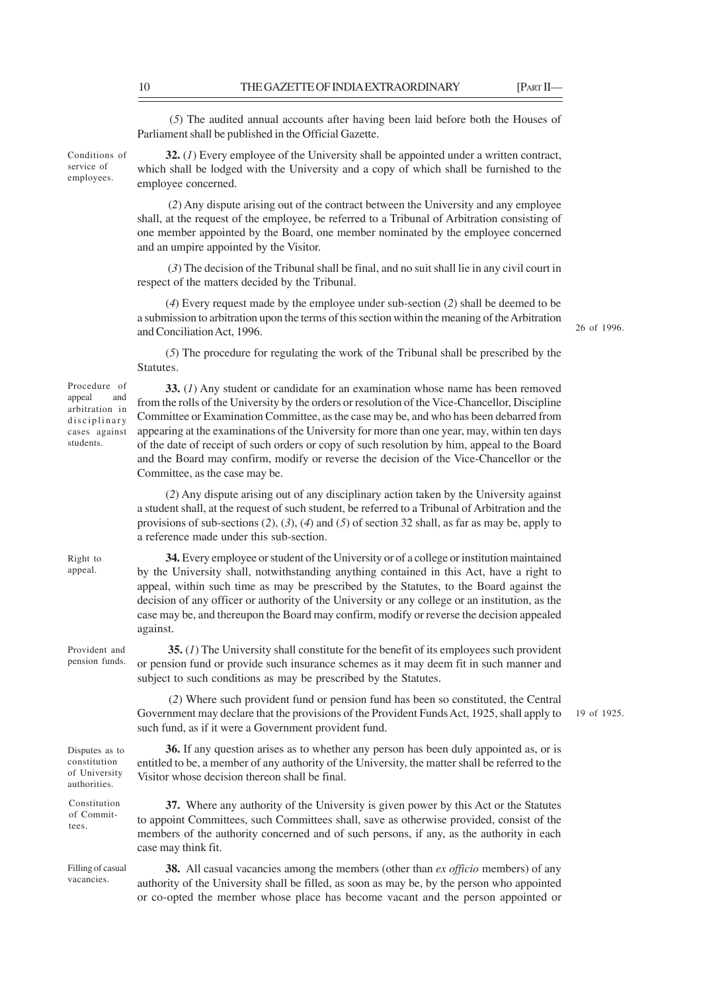(*5*) The audited annual accounts after having been laid before both the Houses of Parliament shall be published in the Official Gazette.

**32.** (*1*) Every employee of the University shall be appointed under a written contract, which shall be lodged with the University and a copy of which shall be furnished to the employee concerned. Conditions of

> (*2*) Any dispute arising out of the contract between the University and any employee shall, at the request of the employee, be referred to a Tribunal of Arbitration consisting of one member appointed by the Board, one member nominated by the employee concerned and an umpire appointed by the Visitor.

> (*3*) The decision of the Tribunal shall be final, and no suit shall lie in any civil court in respect of the matters decided by the Tribunal.

> (*4*) Every request made by the employee under sub-section (*2*) shall be deemed to be a submission to arbitration upon the terms of this section within the meaning of the Arbitration and Conciliation Act, 1996.

26 of 1996.

19 of 1925.

(*5*) The procedure for regulating the work of the Tribunal shall be prescribed by the Statutes.

Procedure of appeal and arbitration in disciplinary cases against students.

Right to appeal.

service of employees.

> **33.** (*1*) Any student or candidate for an examination whose name has been removed from the rolls of the University by the orders or resolution of the Vice-Chancellor, Discipline Committee or Examination Committee, as the case may be, and who has been debarred from appearing at the examinations of the University for more than one year, may, within ten days of the date of receipt of such orders or copy of such resolution by him, appeal to the Board and the Board may confirm, modify or reverse the decision of the Vice-Chancellor or the Committee, as the case may be.

> (*2*) Any dispute arising out of any disciplinary action taken by the University against a student shall, at the request of such student, be referred to a Tribunal of Arbitration and the provisions of sub-sections (*2*), (*3*), (*4*) and (*5*) of section 32 shall, as far as may be, apply to a reference made under this sub-section.

**34.** Every employee or student of the University or of a college or institution maintained by the University shall, notwithstanding anything contained in this Act, have a right to appeal, within such time as may be prescribed by the Statutes, to the Board against the decision of any officer or authority of the University or any college or an institution, as the case may be, and thereupon the Board may confirm, modify or reverse the decision appealed against.

**35.** (*1*) The University shall constitute for the benefit of its employees such provident or pension fund or provide such insurance schemes as it may deem fit in such manner and subject to such conditions as may be prescribed by the Statutes. Provident and pension funds.

> (*2*) Where such provident fund or pension fund has been so constituted, the Central Government may declare that the provisions of the Provident Funds Act, 1925, shall apply to such fund, as if it were a Government provident fund.

> **36.** If any question arises as to whether any person has been duly appointed as, or is entitled to be, a member of any authority of the University, the matter shall be referred to the

Disputes as to constitution of University authorities.

Constitution of Committees.

**37.** Where any authority of the University is given power by this Act or the Statutes to appoint Committees, such Committees shall, save as otherwise provided, consist of the members of the authority concerned and of such persons, if any, as the authority in each case may think fit.

Visitor whose decision thereon shall be final.

Filling of casual vacancies.

**38.** All casual vacancies among the members (other than *ex officio* members) of any authority of the University shall be filled, as soon as may be, by the person who appointed or co-opted the member whose place has become vacant and the person appointed or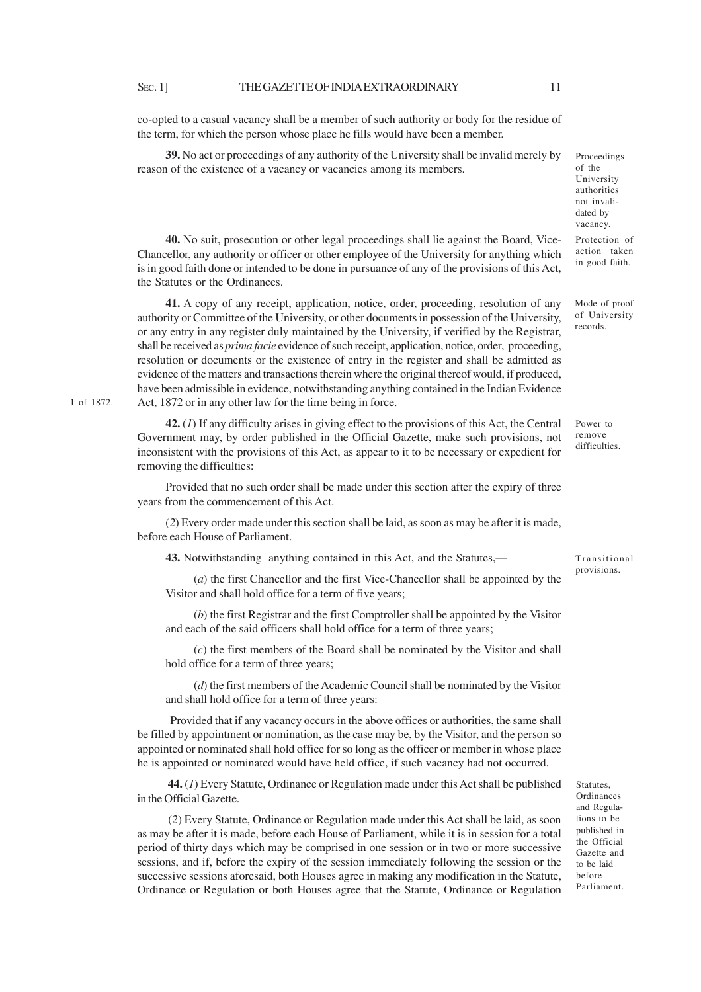1 of 1872.

co-opted to a casual vacancy shall be a member of such authority or body for the residue of the term, for which the person whose place he fills would have been a member.

**39.** No act or proceedings of any authority of the University shall be invalid merely by reason of the existence of a vacancy or vacancies among its members.

Proceedings of the University authorities not invalidated by vacancy.

Protection of action taken in good faith.

Mode of proof of University records.

**40.** No suit, prosecution or other legal proceedings shall lie against the Board, Vice-Chancellor, any authority or officer or other employee of the University for anything which is in good faith done or intended to be done in pursuance of any of the provisions of this Act, the Statutes or the Ordinances.

**41.** A copy of any receipt, application, notice, order, proceeding, resolution of any authority or Committee of the University, or other documents in possession of the University, or any entry in any register duly maintained by the University, if verified by the Registrar, shall be received as *prima facie* evidence of such receipt, application, notice, order, proceeding, resolution or documents or the existence of entry in the register and shall be admitted as evidence of the matters and transactions therein where the original thereof would, if produced, have been admissible in evidence, notwithstanding anything contained in the Indian Evidence Act, 1872 or in any other law for the time being in force.

**42.** (*1*) If any difficulty arises in giving effect to the provisions of this Act, the Central Government may, by order published in the Official Gazette, make such provisions, not inconsistent with the provisions of this Act, as appear to it to be necessary or expedient for removing the difficulties:

Provided that no such order shall be made under this section after the expiry of three years from the commencement of this Act.

(*2*) Every order made under this section shall be laid, as soon as may be after it is made, before each House of Parliament.

**43.** Notwithstanding anything contained in this Act, and the Statutes,—

(*a*) the first Chancellor and the first Vice-Chancellor shall be appointed by the Visitor and shall hold office for a term of five years;

(*b*) the first Registrar and the first Comptroller shall be appointed by the Visitor and each of the said officers shall hold office for a term of three years;

(*c*) the first members of the Board shall be nominated by the Visitor and shall hold office for a term of three years;

(*d*) the first members of the Academic Council shall be nominated by the Visitor and shall hold office for a term of three years:

 Provided that if any vacancy occurs in the above offices or authorities, the same shall be filled by appointment or nomination, as the case may be, by the Visitor, and the person so appointed or nominated shall hold office for so long as the officer or member in whose place he is appointed or nominated would have held office, if such vacancy had not occurred.

**44.** (*1*) Every Statute, Ordinance or Regulation made under this Act shall be published in the Official Gazette.

 (*2*) Every Statute, Ordinance or Regulation made under this Act shall be laid, as soon as may be after it is made, before each House of Parliament, while it is in session for a total period of thirty days which may be comprised in one session or in two or more successive sessions, and if, before the expiry of the session immediately following the session or the successive sessions aforesaid, both Houses agree in making any modification in the Statute, Ordinance or Regulation or both Houses agree that the Statute, Ordinance or Regulation Power to remove difficulties.

Transitional provisions.

**Statutes** Ordinances and Regulations to be published in the Official Gazette and to be laid before Parliament.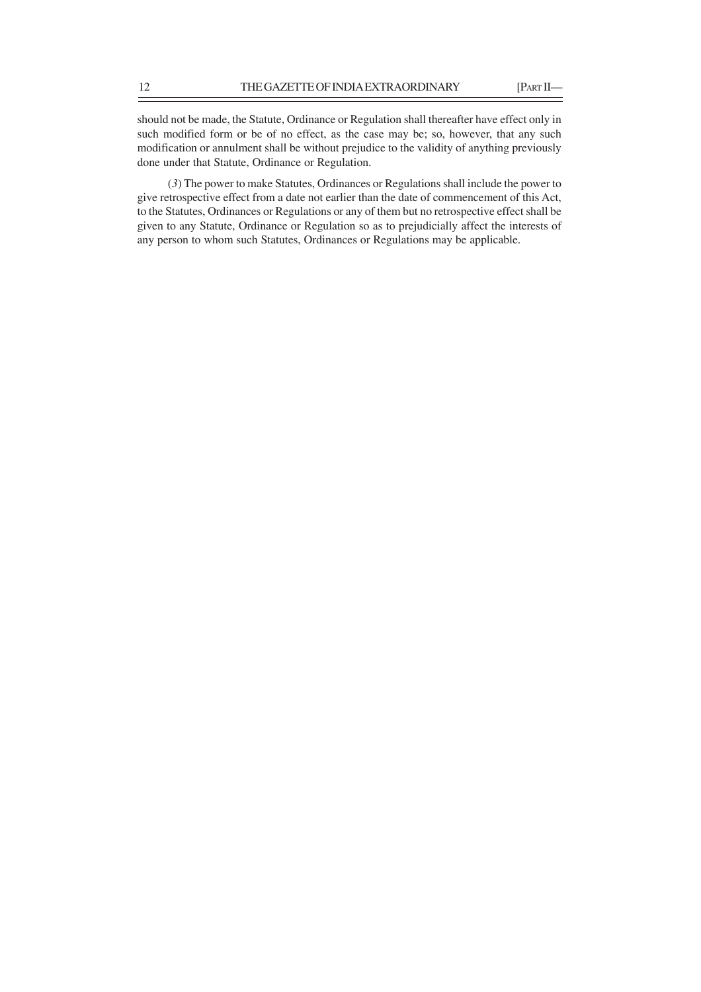should not be made, the Statute, Ordinance or Regulation shall thereafter have effect only in such modified form or be of no effect, as the case may be; so, however, that any such modification or annulment shall be without prejudice to the validity of anything previously done under that Statute, Ordinance or Regulation.

 (*3*) The power to make Statutes, Ordinances or Regulations shall include the power to give retrospective effect from a date not earlier than the date of commencement of this Act, to the Statutes, Ordinances or Regulations or any of them but no retrospective effect shall be given to any Statute, Ordinance or Regulation so as to prejudicially affect the interests of any person to whom such Statutes, Ordinances or Regulations may be applicable.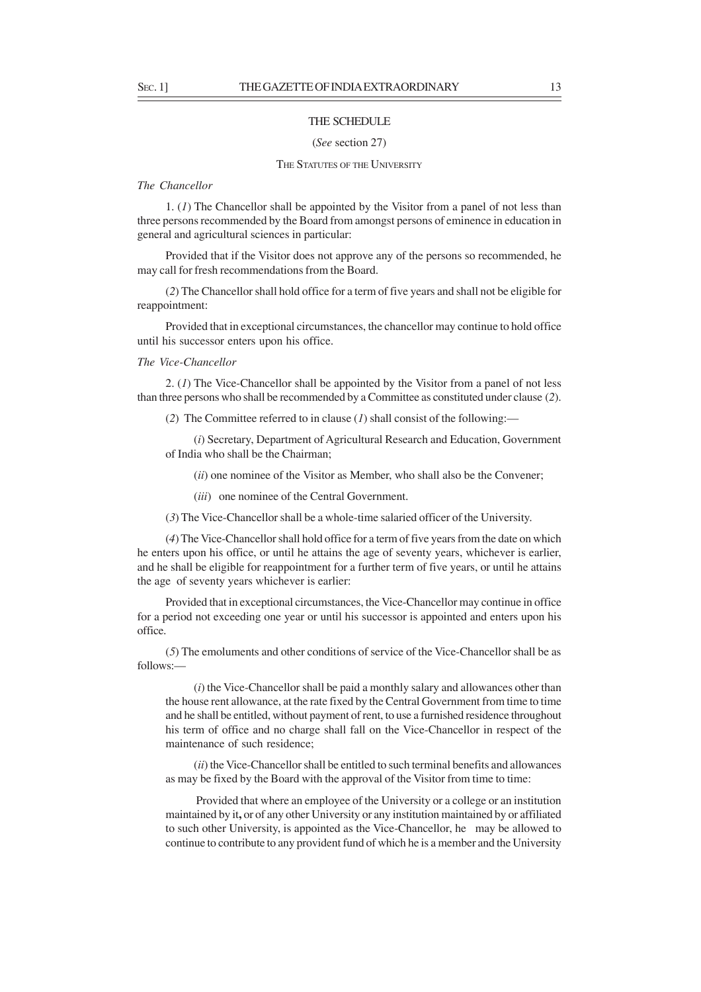## THE SCHEDULE

## (*See* section 27)

## THE STATUTES OF THE UNIVERSITY

## *The Chancellor*

1. (*1*) The Chancellor shall be appointed by the Visitor from a panel of not less than three persons recommended by the Board from amongst persons of eminence in education in general and agricultural sciences in particular:

Provided that if the Visitor does not approve any of the persons so recommended, he may call for fresh recommendations from the Board.

(*2*) The Chancellor shall hold office for a term of five years and shall not be eligible for reappointment:

Provided that in exceptional circumstances, the chancellor may continue to hold office until his successor enters upon his office.

#### *The Vice-Chancellor*

2. (*1*) The Vice-Chancellor shall be appointed by the Visitor from a panel of not less than three persons who shall be recommended by a Committee as constituted under clause (*2*).

(*2*) The Committee referred to in clause (*1*) shall consist of the following:—

(*i*) Secretary, Department of Agricultural Research and Education, Government of India who shall be the Chairman;

(*ii*) one nominee of the Visitor as Member, who shall also be the Convener;

(*iii*) one nominee of the Central Government.

(*3*) The Vice-Chancellor shall be a whole-time salaried officer of the University.

(*4*) The Vice-Chancellor shall hold office for a term of five years from the date on which he enters upon his office, or until he attains the age of seventy years, whichever is earlier, and he shall be eligible for reappointment for a further term of five years, or until he attains the age of seventy years whichever is earlier:

Provided that in exceptional circumstances, the Vice-Chancellor may continue in office for a period not exceeding one year or until his successor is appointed and enters upon his office.

(*5*) The emoluments and other conditions of service of the Vice-Chancellor shall be as follows:—

(*i*) the Vice-Chancellor shall be paid a monthly salary and allowances other than the house rent allowance, at the rate fixed by the Central Government from time to time and he shall be entitled, without payment of rent, to use a furnished residence throughout his term of office and no charge shall fall on the Vice-Chancellor in respect of the maintenance of such residence;

(*ii*) the Vice-Chancellor shall be entitled to such terminal benefits and allowances as may be fixed by the Board with the approval of the Visitor from time to time:

 Provided that where an employee of the University or a college or an institution maintained by it**,** or of any other University or any institution maintained by or affiliated to such other University, is appointed as the Vice-Chancellor, he may be allowed to continue to contribute to any provident fund of which he is a member and the University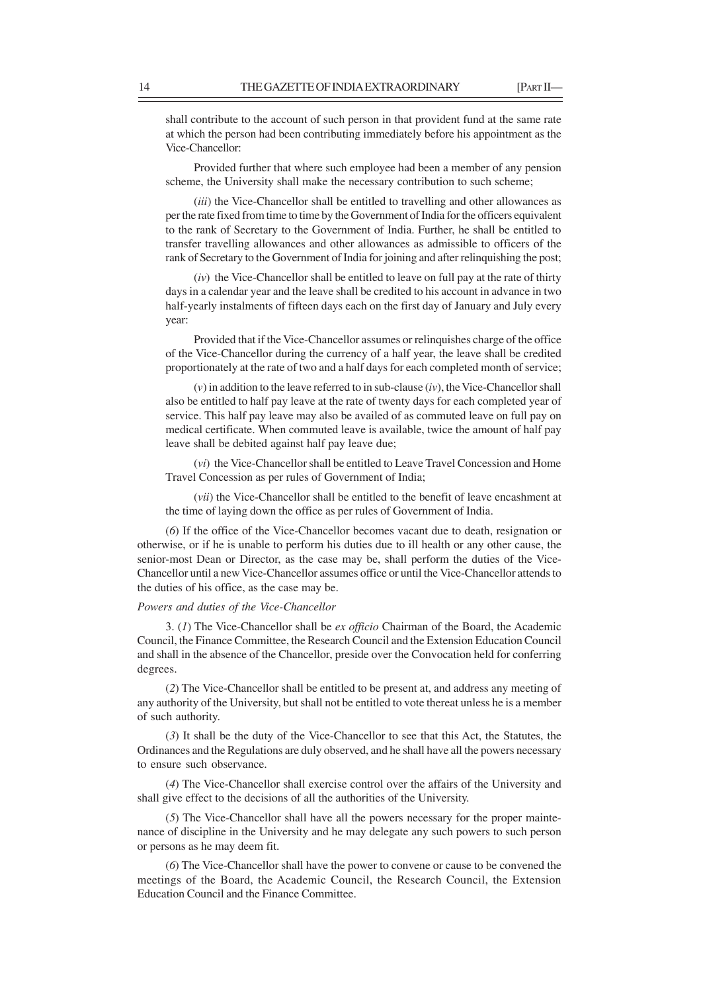shall contribute to the account of such person in that provident fund at the same rate at which the person had been contributing immediately before his appointment as the Vice-Chancellor:

Provided further that where such employee had been a member of any pension scheme, the University shall make the necessary contribution to such scheme;

(*iii*) the Vice-Chancellor shall be entitled to travelling and other allowances as per the rate fixed from time to time by the Government of India for the officers equivalent to the rank of Secretary to the Government of India. Further, he shall be entitled to transfer travelling allowances and other allowances as admissible to officers of the rank of Secretary to the Government of India for joining and after relinquishing the post;

(*iv*) the Vice-Chancellor shall be entitled to leave on full pay at the rate of thirty days in a calendar year and the leave shall be credited to his account in advance in two half-yearly instalments of fifteen days each on the first day of January and July every year:

Provided that if the Vice-Chancellor assumes or relinquishes charge of the office of the Vice-Chancellor during the currency of a half year, the leave shall be credited proportionately at the rate of two and a half days for each completed month of service;

(*v*) in addition to the leave referred to in sub-clause (*iv*), the Vice-Chancellor shall also be entitled to half pay leave at the rate of twenty days for each completed year of service. This half pay leave may also be availed of as commuted leave on full pay on medical certificate. When commuted leave is available, twice the amount of half pay leave shall be debited against half pay leave due;

(*vi*) the Vice-Chancellor shall be entitled to Leave Travel Concession and Home Travel Concession as per rules of Government of India;

(*vii*) the Vice-Chancellor shall be entitled to the benefit of leave encashment at the time of laying down the office as per rules of Government of India.

(*6*) If the office of the Vice-Chancellor becomes vacant due to death, resignation or otherwise, or if he is unable to perform his duties due to ill health or any other cause, the senior-most Dean or Director, as the case may be, shall perform the duties of the Vice-Chancellor until a new Vice-Chancellor assumes office or until the Vice-Chancellor attends to the duties of his office, as the case may be.

### *Powers and duties of the Vice-Chancellor*

3. (*1*) The Vice-Chancellor shall be *ex officio* Chairman of the Board, the Academic Council, the Finance Committee, the Research Council and the Extension Education Council and shall in the absence of the Chancellor, preside over the Convocation held for conferring degrees.

(*2*) The Vice-Chancellor shall be entitled to be present at, and address any meeting of any authority of the University, but shall not be entitled to vote thereat unless he is a member of such authority.

(*3*) It shall be the duty of the Vice-Chancellor to see that this Act, the Statutes, the Ordinances and the Regulations are duly observed, and he shall have all the powers necessary to ensure such observance.

(*4*) The Vice-Chancellor shall exercise control over the affairs of the University and shall give effect to the decisions of all the authorities of the University.

(*5*) The Vice-Chancellor shall have all the powers necessary for the proper maintenance of discipline in the University and he may delegate any such powers to such person or persons as he may deem fit.

(*6*) The Vice-Chancellor shall have the power to convene or cause to be convened the meetings of the Board, the Academic Council, the Research Council, the Extension Education Council and the Finance Committee.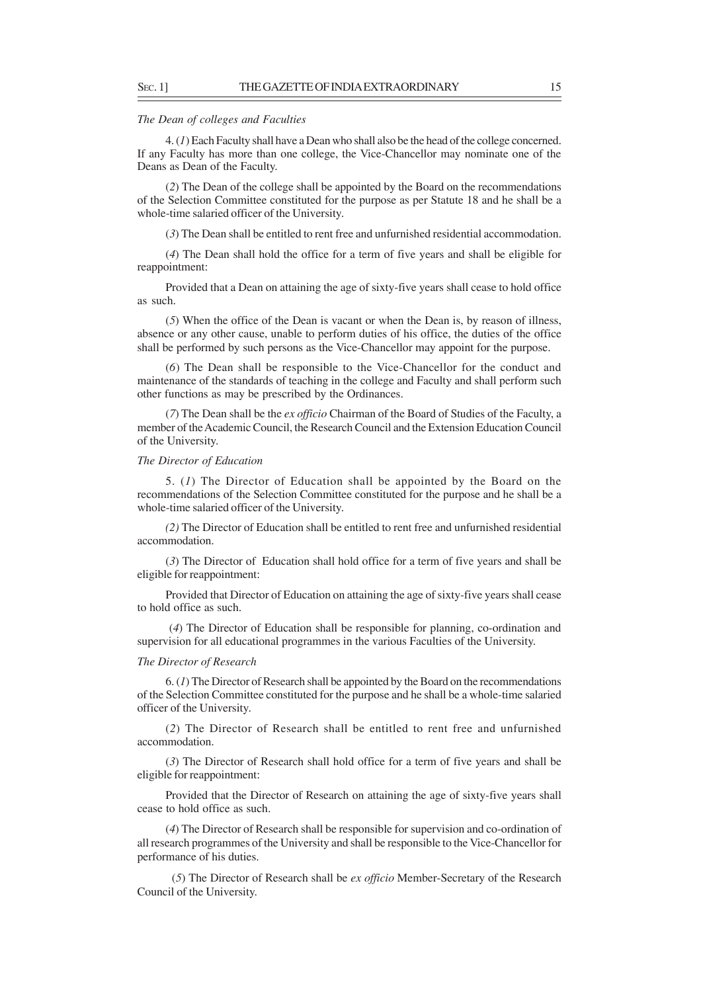#### *The Dean of colleges and Faculties*

4. (*1*) Each Faculty shall have a Dean who shall also be the head of the college concerned. If any Faculty has more than one college, the Vice-Chancellor may nominate one of the Deans as Dean of the Faculty.

(*2*) The Dean of the college shall be appointed by the Board on the recommendations of the Selection Committee constituted for the purpose as per Statute 18 and he shall be a whole-time salaried officer of the University.

(*3*) The Dean shall be entitled to rent free and unfurnished residential accommodation.

(*4*) The Dean shall hold the office for a term of five years and shall be eligible for reappointment:

Provided that a Dean on attaining the age of sixty-five years shall cease to hold office as such.

(*5*) When the office of the Dean is vacant or when the Dean is, by reason of illness, absence or any other cause, unable to perform duties of his office, the duties of the office shall be performed by such persons as the Vice-Chancellor may appoint for the purpose.

(*6*) The Dean shall be responsible to the Vice-Chancellor for the conduct and maintenance of the standards of teaching in the college and Faculty and shall perform such other functions as may be prescribed by the Ordinances.

(*7*) The Dean shall be the *ex officio* Chairman of the Board of Studies of the Faculty, a member of the Academic Council, the Research Council and the Extension Education Council of the University.

## *The Director of Education*

5. (*1*) The Director of Education shall be appointed by the Board on the recommendations of the Selection Committee constituted for the purpose and he shall be a whole-time salaried officer of the University.

*(2)* The Director of Education shall be entitled to rent free and unfurnished residential accommodation.

(*3*) The Director of Education shall hold office for a term of five years and shall be eligible for reappointment:

Provided that Director of Education on attaining the age of sixty-five years shall cease to hold office as such.

 (*4*) The Director of Education shall be responsible for planning, co-ordination and supervision for all educational programmes in the various Faculties of the University.

### *The Director of Research*

6. (*1*) The Director of Research shall be appointed by the Board on the recommendations of the Selection Committee constituted for the purpose and he shall be a whole-time salaried officer of the University.

(*2*) The Director of Research shall be entitled to rent free and unfurnished accommodation.

(*3*) The Director of Research shall hold office for a term of five years and shall be eligible for reappointment:

Provided that the Director of Research on attaining the age of sixty-five years shall cease to hold office as such.

(*4*) The Director of Research shall be responsible for supervision and co-ordination of all research programmes of the University and shall be responsible to the Vice-Chancellor for performance of his duties.

 (*5*) The Director of Research shall be *ex officio* Member-Secretary of the Research Council of the University.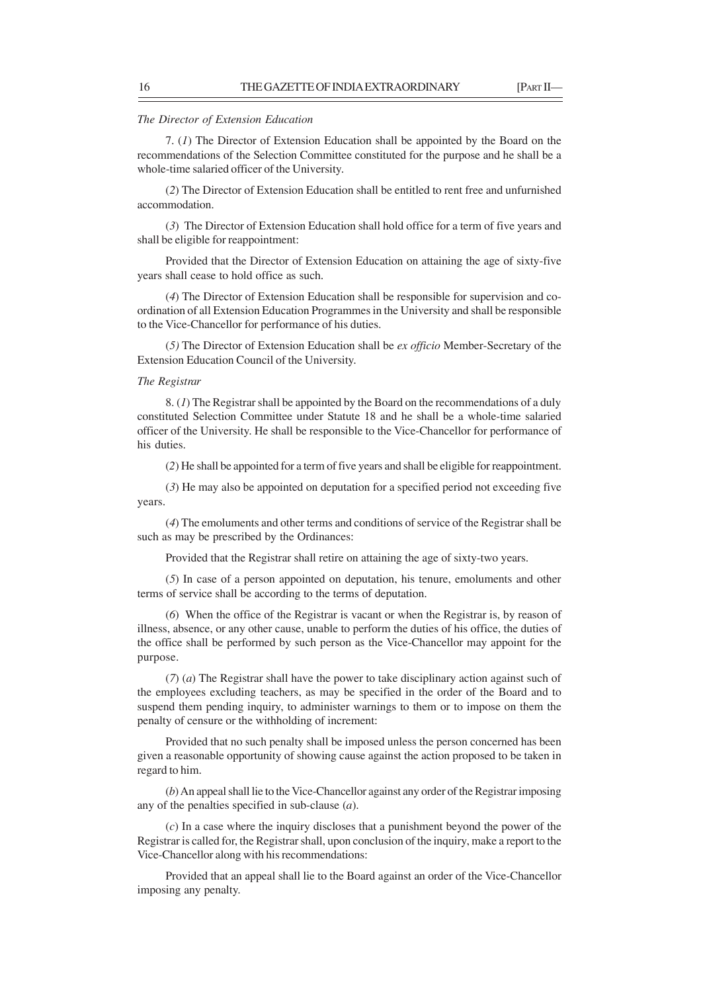#### *The Director of Extension Education*

7. (*1*) The Director of Extension Education shall be appointed by the Board on the recommendations of the Selection Committee constituted for the purpose and he shall be a whole-time salaried officer of the University.

(*2*) The Director of Extension Education shall be entitled to rent free and unfurnished accommodation.

(*3*) The Director of Extension Education shall hold office for a term of five years and shall be eligible for reappointment:

Provided that the Director of Extension Education on attaining the age of sixty-five years shall cease to hold office as such.

(*4*) The Director of Extension Education shall be responsible for supervision and coordination of all Extension Education Programmes in the University and shall be responsible to the Vice-Chancellor for performance of his duties.

(*5)* The Director of Extension Education shall be *ex officio* Member-Secretary of the Extension Education Council of the University.

## *The Registrar*

8. (*1*) The Registrar shall be appointed by the Board on the recommendations of a duly constituted Selection Committee under Statute 18 and he shall be a whole-time salaried officer of the University. He shall be responsible to the Vice-Chancellor for performance of his duties.

(*2*) He shall be appointed for a term of five years and shall be eligible for reappointment.

(*3*) He may also be appointed on deputation for a specified period not exceeding five years.

(*4*) The emoluments and other terms and conditions of service of the Registrar shall be such as may be prescribed by the Ordinances:

Provided that the Registrar shall retire on attaining the age of sixty-two years.

(*5*) In case of a person appointed on deputation, his tenure, emoluments and other terms of service shall be according to the terms of deputation.

(*6*) When the office of the Registrar is vacant or when the Registrar is, by reason of illness, absence, or any other cause, unable to perform the duties of his office, the duties of the office shall be performed by such person as the Vice-Chancellor may appoint for the purpose.

(*7*) (*a*) The Registrar shall have the power to take disciplinary action against such of the employees excluding teachers, as may be specified in the order of the Board and to suspend them pending inquiry, to administer warnings to them or to impose on them the penalty of censure or the withholding of increment:

Provided that no such penalty shall be imposed unless the person concerned has been given a reasonable opportunity of showing cause against the action proposed to be taken in regard to him.

(*b*) An appeal shall lie to the Vice-Chancellor against any order of the Registrar imposing any of the penalties specified in sub-clause (*a*).

(*c*) In a case where the inquiry discloses that a punishment beyond the power of the Registrar is called for, the Registrar shall, upon conclusion of the inquiry, make a report to the Vice-Chancellor along with his recommendations:

Provided that an appeal shall lie to the Board against an order of the Vice-Chancellor imposing any penalty.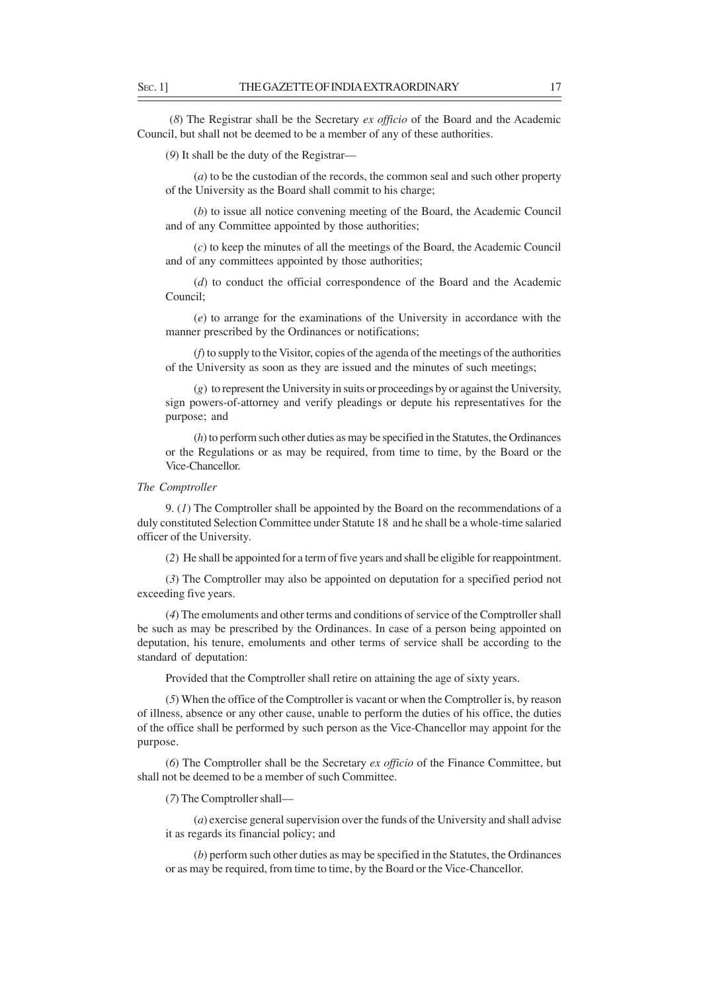(*8*) The Registrar shall be the Secretary *ex officio* of the Board and the Academic Council, but shall not be deemed to be a member of any of these authorities.

(*9*) It shall be the duty of the Registrar—

(*a*) to be the custodian of the records, the common seal and such other property of the University as the Board shall commit to his charge;

(*b*) to issue all notice convening meeting of the Board, the Academic Council and of any Committee appointed by those authorities;

(*c*) to keep the minutes of all the meetings of the Board, the Academic Council and of any committees appointed by those authorities;

(*d*) to conduct the official correspondence of the Board and the Academic Council;

(*e*) to arrange for the examinations of the University in accordance with the manner prescribed by the Ordinances or notifications;

(*f*) to supply to the Visitor, copies of the agenda of the meetings of the authorities of the University as soon as they are issued and the minutes of such meetings;

(*g*) to represent the University in suits or proceedings by or against the University, sign powers-of-attorney and verify pleadings or depute his representatives for the purpose; and

(*h*) to perform such other duties as may be specified in the Statutes, the Ordinances or the Regulations or as may be required, from time to time, by the Board or the Vice-Chancellor.

### *The Comptroller*

9. (*1*) The Comptroller shall be appointed by the Board on the recommendations of a duly constituted Selection Committee under Statute 18 and he shall be a whole-time salaried officer of the University.

(*2*) He shall be appointed for a term of five years and shall be eligible for reappointment.

(*3*) The Comptroller may also be appointed on deputation for a specified period not exceeding five years.

(*4*) The emoluments and other terms and conditions of service of the Comptroller shall be such as may be prescribed by the Ordinances. In case of a person being appointed on deputation, his tenure, emoluments and other terms of service shall be according to the standard of deputation:

Provided that the Comptroller shall retire on attaining the age of sixty years.

(*5*) When the office of the Comptroller is vacant or when the Comptroller is, by reason of illness, absence or any other cause, unable to perform the duties of his office, the duties of the office shall be performed by such person as the Vice-Chancellor may appoint for the purpose.

(*6*) The Comptroller shall be the Secretary *ex officio* of the Finance Committee, but shall not be deemed to be a member of such Committee.

(*7*) The Comptroller shall—

(*a*) exercise general supervision over the funds of the University and shall advise it as regards its financial policy; and

(*b*) perform such other duties as may be specified in the Statutes, the Ordinances or as may be required, from time to time, by the Board or the Vice-Chancellor.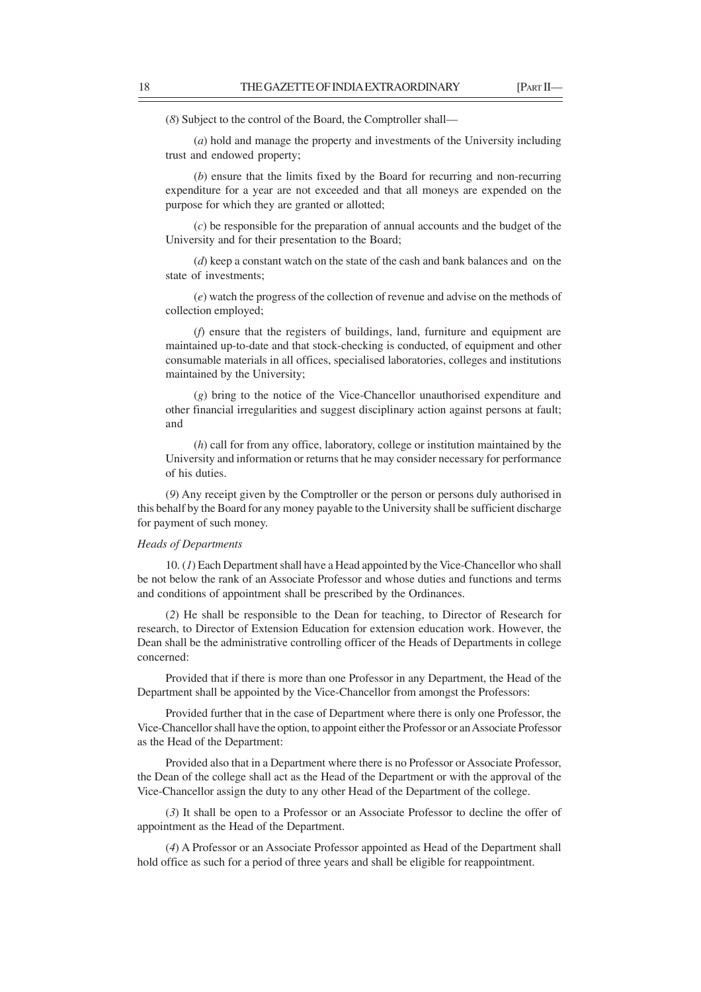(*8*) Subject to the control of the Board, the Comptroller shall—

(*a*) hold and manage the property and investments of the University including trust and endowed property;

(*b*) ensure that the limits fixed by the Board for recurring and non-recurring expenditure for a year are not exceeded and that all moneys are expended on the purpose for which they are granted or allotted;

(*c*) be responsible for the preparation of annual accounts and the budget of the University and for their presentation to the Board;

(*d*) keep a constant watch on the state of the cash and bank balances and on the state of investments;

(*e*) watch the progress of the collection of revenue and advise on the methods of collection employed;

(*f*) ensure that the registers of buildings, land, furniture and equipment are maintained up-to-date and that stock-checking is conducted, of equipment and other consumable materials in all offices, specialised laboratories, colleges and institutions maintained by the University;

(*g*) bring to the notice of the Vice-Chancellor unauthorised expenditure and other financial irregularities and suggest disciplinary action against persons at fault; and

(*h*) call for from any office, laboratory, college or institution maintained by the University and information or returns that he may consider necessary for performance of his duties.

(*9*) Any receipt given by the Comptroller or the person or persons duly authorised in this behalf by the Board for any money payable to the University shall be sufficient discharge for payment of such money.

#### *Heads of Departments*

10. (*1*) Each Department shall have a Head appointed by the Vice-Chancellor who shall be not below the rank of an Associate Professor and whose duties and functions and terms and conditions of appointment shall be prescribed by the Ordinances.

(*2*) He shall be responsible to the Dean for teaching, to Director of Research for research, to Director of Extension Education for extension education work. However, the Dean shall be the administrative controlling officer of the Heads of Departments in college concerned:

Provided that if there is more than one Professor in any Department, the Head of the Department shall be appointed by the Vice-Chancellor from amongst the Professors:

Provided further that in the case of Department where there is only one Professor, the Vice-Chancellor shall have the option, to appoint either the Professor or an Associate Professor as the Head of the Department:

Provided also that in a Department where there is no Professor or Associate Professor, the Dean of the college shall act as the Head of the Department or with the approval of the Vice-Chancellor assign the duty to any other Head of the Department of the college.

(*3*) It shall be open to a Professor or an Associate Professor to decline the offer of appointment as the Head of the Department.

(*4*) A Professor or an Associate Professor appointed as Head of the Department shall hold office as such for a period of three years and shall be eligible for reappointment.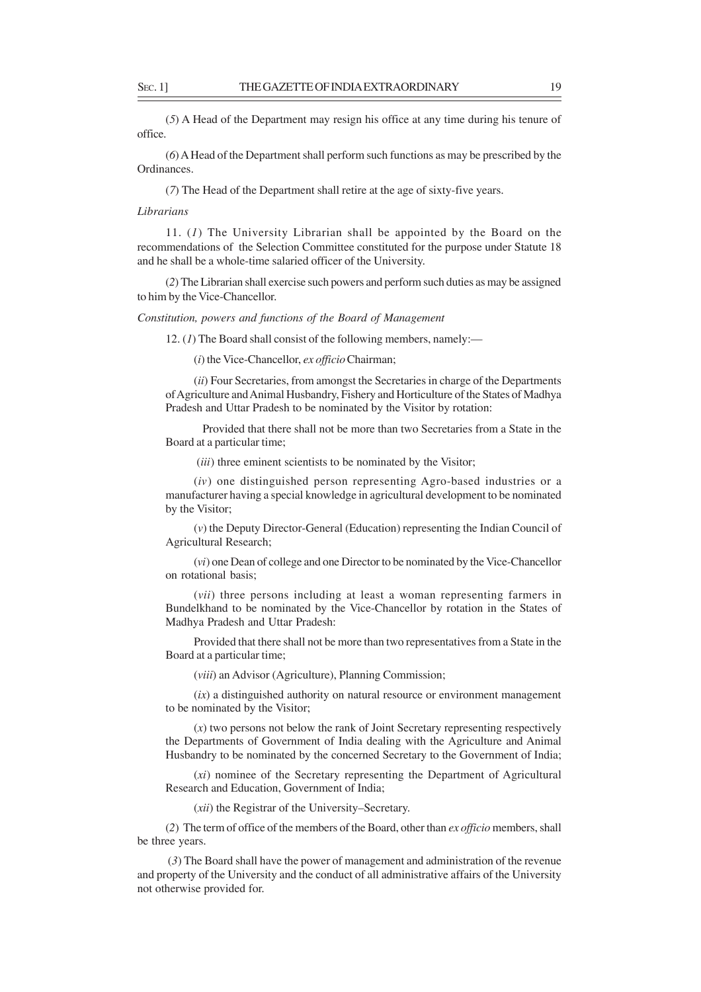(*5*) A Head of the Department may resign his office at any time during his tenure of office.

(*6*) A Head of the Department shall perform such functions as may be prescribed by the Ordinances.

(*7*) The Head of the Department shall retire at the age of sixty-five years.

*Librarians*

11. (*1*) The University Librarian shall be appointed by the Board on the recommendations of the Selection Committee constituted for the purpose under Statute 18 and he shall be a whole-time salaried officer of the University.

(*2*) The Librarian shall exercise such powers and perform such duties as may be assigned to him by the Vice-Chancellor.

*Constitution, powers and functions of the Board of Management*

12. (*1*) The Board shall consist of the following members, namely:—

(*i*) the Vice-Chancellor, *ex officio* Chairman;

(*ii*) Four Secretaries, from amongst the Secretaries in charge of the Departments of Agriculture and Animal Husbandry, Fishery and Horticulture of the States of Madhya Pradesh and Uttar Pradesh to be nominated by the Visitor by rotation:

Provided that there shall not be more than two Secretaries from a State in the Board at a particular time;

(*iii*) three eminent scientists to be nominated by the Visitor;

(*iv*) one distinguished person representing Agro-based industries or a manufacturer having a special knowledge in agricultural development to be nominated by the Visitor;

(*v*) the Deputy Director-General (Education) representing the Indian Council of Agricultural Research;

(*vi*) one Dean of college and one Director to be nominated by the Vice-Chancellor on rotational basis;

(*vii*) three persons including at least a woman representing farmers in Bundelkhand to be nominated by the Vice-Chancellor by rotation in the States of Madhya Pradesh and Uttar Pradesh:

Provided that there shall not be more than two representatives from a State in the Board at a particular time;

(*viii*) an Advisor (Agriculture), Planning Commission;

(*ix*) a distinguished authority on natural resource or environment management to be nominated by the Visitor;

(*x*) two persons not below the rank of Joint Secretary representing respectively the Departments of Government of India dealing with the Agriculture and Animal Husbandry to be nominated by the concerned Secretary to the Government of India;

(*xi*) nominee of the Secretary representing the Department of Agricultural Research and Education, Government of India;

(*xii*) the Registrar of the University–Secretary.

(*2*) The term of office of the members of the Board, other than *ex officio* members, shall be three years.

 (*3*) The Board shall have the power of management and administration of the revenue and property of the University and the conduct of all administrative affairs of the University not otherwise provided for.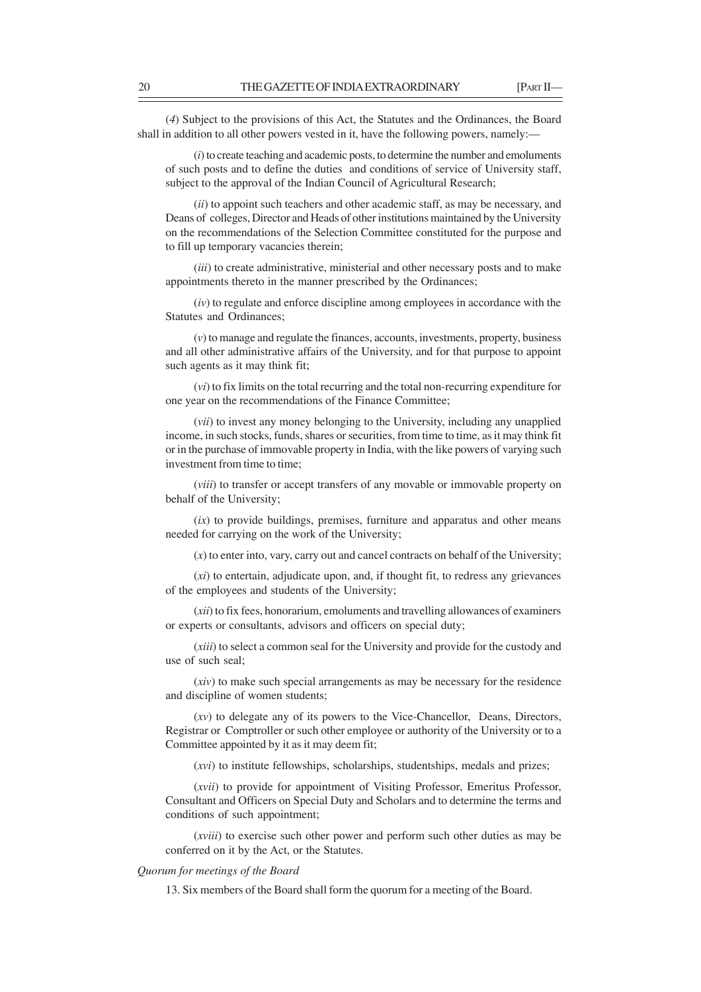(*4*) Subject to the provisions of this Act, the Statutes and the Ordinances, the Board shall in addition to all other powers vested in it, have the following powers, namely:—

(*i*) to create teaching and academic posts, to determine the number and emoluments of such posts and to define the duties and conditions of service of University staff, subject to the approval of the Indian Council of Agricultural Research;

(*ii*) to appoint such teachers and other academic staff, as may be necessary, and Deans of colleges, Director and Heads of other institutions maintained by the University on the recommendations of the Selection Committee constituted for the purpose and to fill up temporary vacancies therein;

(*iii*) to create administrative, ministerial and other necessary posts and to make appointments thereto in the manner prescribed by the Ordinances;

(*iv*) to regulate and enforce discipline among employees in accordance with the Statutes and Ordinances;

(*v*) to manage and regulate the finances, accounts, investments, property, business and all other administrative affairs of the University, and for that purpose to appoint such agents as it may think fit;

(*vi*) to fix limits on the total recurring and the total non-recurring expenditure for one year on the recommendations of the Finance Committee;

(*vii*) to invest any money belonging to the University, including any unapplied income, in such stocks, funds, shares or securities, from time to time, as it may think fit or in the purchase of immovable property in India, with the like powers of varying such investment from time to time;

(*viii*) to transfer or accept transfers of any movable or immovable property on behalf of the University;

(*ix*) to provide buildings, premises, furniture and apparatus and other means needed for carrying on the work of the University;

(*x*) to enter into, vary, carry out and cancel contracts on behalf of the University;

(*xi*) to entertain, adjudicate upon, and, if thought fit, to redress any grievances of the employees and students of the University;

(*xii*) to fix fees, honorarium, emoluments and travelling allowances of examiners or experts or consultants, advisors and officers on special duty;

(*xiii*) to select a common seal for the University and provide for the custody and use of such seal;

(*xiv*) to make such special arrangements as may be necessary for the residence and discipline of women students;

(*xv*) to delegate any of its powers to the Vice-Chancellor, Deans, Directors, Registrar or Comptroller or such other employee or authority of the University or to a Committee appointed by it as it may deem fit;

(*xvi*) to institute fellowships, scholarships, studentships, medals and prizes;

(*xvii*) to provide for appointment of Visiting Professor, Emeritus Professor, Consultant and Officers on Special Duty and Scholars and to determine the terms and conditions of such appointment;

(*xviii*) to exercise such other power and perform such other duties as may be conferred on it by the Act, or the Statutes.

## *Quorum for meetings of the Board*

13. Six members of the Board shall form the quorum for a meeting of the Board.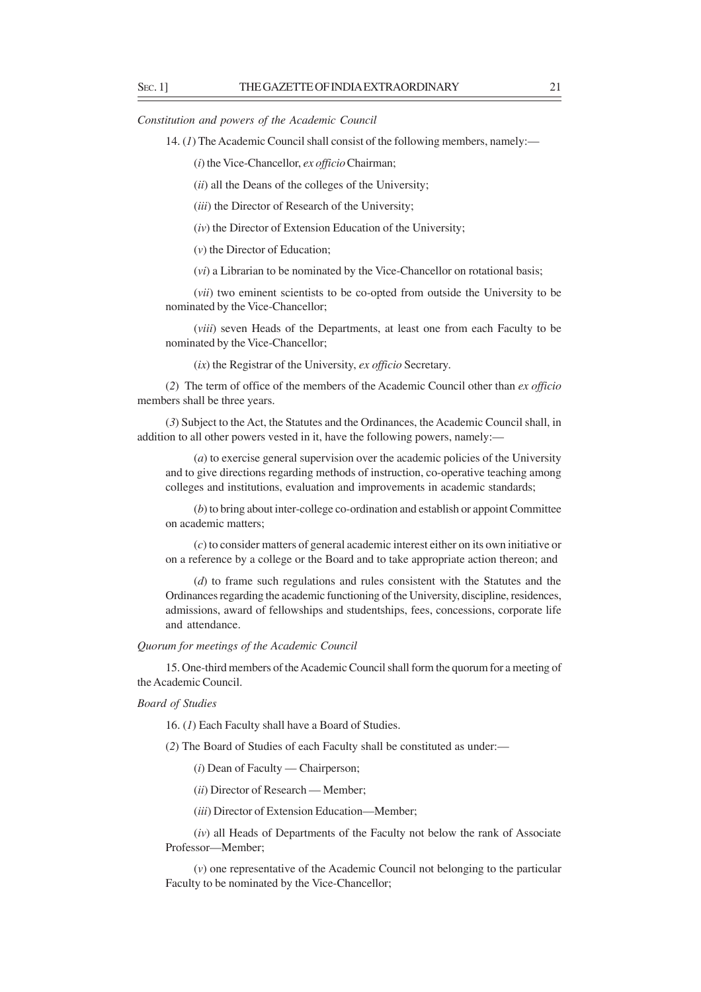*Constitution and powers of the Academic Council*

14. (*1*) The Academic Council shall consist of the following members, namely:—

(*i*) the Vice-Chancellor, *ex officio* Chairman;

(*ii*) all the Deans of the colleges of the University;

(*iii*) the Director of Research of the University;

(*iv*) the Director of Extension Education of the University;

(*v*) the Director of Education;

(*vi*) a Librarian to be nominated by the Vice-Chancellor on rotational basis;

(*vii*) two eminent scientists to be co-opted from outside the University to be nominated by the Vice-Chancellor;

(*viii*) seven Heads of the Departments, at least one from each Faculty to be nominated by the Vice-Chancellor;

(*ix*) the Registrar of the University, *ex officio* Secretary.

(*2*) The term of office of the members of the Academic Council other than *ex officio* members shall be three years.

(*3*) Subject to the Act, the Statutes and the Ordinances, the Academic Council shall, in addition to all other powers vested in it, have the following powers, namely:—

(*a*) to exercise general supervision over the academic policies of the University and to give directions regarding methods of instruction, co-operative teaching among colleges and institutions, evaluation and improvements in academic standards;

(*b*) to bring about inter-college co-ordination and establish or appoint Committee on academic matters;

(*c*) to consider matters of general academic interest either on its own initiative or on a reference by a college or the Board and to take appropriate action thereon; and

(*d*) to frame such regulations and rules consistent with the Statutes and the Ordinances regarding the academic functioning of the University, discipline, residences, admissions, award of fellowships and studentships, fees, concessions, corporate life and attendance.

*Quorum for meetings of the Academic Council*

15. One-third members of the Academic Council shall form the quorum for a meeting of the Academic Council.

*Board of Studies*

16. (*1*) Each Faculty shall have a Board of Studies.

(*2*) The Board of Studies of each Faculty shall be constituted as under:—

(*i*) Dean of Faculty — Chairperson;

(*ii*) Director of Research — Member;

(*iii*) Director of Extension Education—Member;

(*iv*) all Heads of Departments of the Faculty not below the rank of Associate Professor—Member;

(*v*) one representative of the Academic Council not belonging to the particular Faculty to be nominated by the Vice-Chancellor;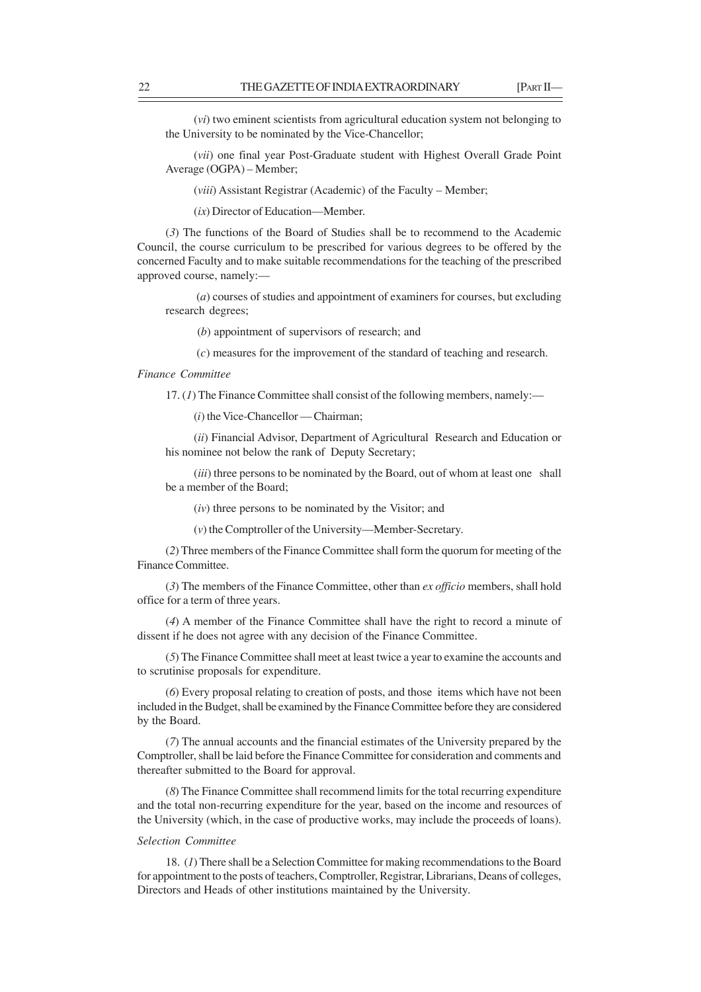(*vi*) two eminent scientists from agricultural education system not belonging to the University to be nominated by the Vice-Chancellor;

(*vii*) one final year Post-Graduate student with Highest Overall Grade Point Average (OGPA) – Member;

(*viii*) Assistant Registrar (Academic) of the Faculty – Member;

(*ix*) Director of Education—Member.

(*3*) The functions of the Board of Studies shall be to recommend to the Academic Council, the course curriculum to be prescribed for various degrees to be offered by the concerned Faculty and to make suitable recommendations for the teaching of the prescribed approved course, namely:—

 (*a*) courses of studies and appointment of examiners for courses, but excluding research degrees;

(*b*) appointment of supervisors of research; and

(*c*) measures for the improvement of the standard of teaching and research.

*Finance Committee*

17. (*1*) The Finance Committee shall consist of the following members, namely:—

(*i*) the Vice-Chancellor — Chairman;

(*ii*) Financial Advisor, Department of Agricultural Research and Education or his nominee not below the rank of Deputy Secretary;

(*iii*) three persons to be nominated by the Board, out of whom at least one shall be a member of the Board;

(*iv*) three persons to be nominated by the Visitor; and

(*v*) the Comptroller of the University—Member-Secretary.

(*2*) Three members of the Finance Committee shall form the quorum for meeting of the Finance Committee.

(*3*) The members of the Finance Committee, other than *ex officio* members, shall hold office for a term of three years.

(*4*) A member of the Finance Committee shall have the right to record a minute of dissent if he does not agree with any decision of the Finance Committee.

(*5*) The Finance Committee shall meet at least twice a year to examine the accounts and to scrutinise proposals for expenditure.

(*6*) Every proposal relating to creation of posts, and those items which have not been included in the Budget, shall be examined by the Finance Committee before they are considered by the Board.

(*7*) The annual accounts and the financial estimates of the University prepared by the Comptroller, shall be laid before the Finance Committee for consideration and comments and thereafter submitted to the Board for approval.

(*8*) The Finance Committee shall recommend limits for the total recurring expenditure and the total non-recurring expenditure for the year, based on the income and resources of the University (which, in the case of productive works, may include the proceeds of loans).

## *Selection Committee*

18. (*1*) There shall be a Selection Committee for making recommendations to the Board for appointment to the posts of teachers, Comptroller, Registrar, Librarians, Deans of colleges, Directors and Heads of other institutions maintained by the University.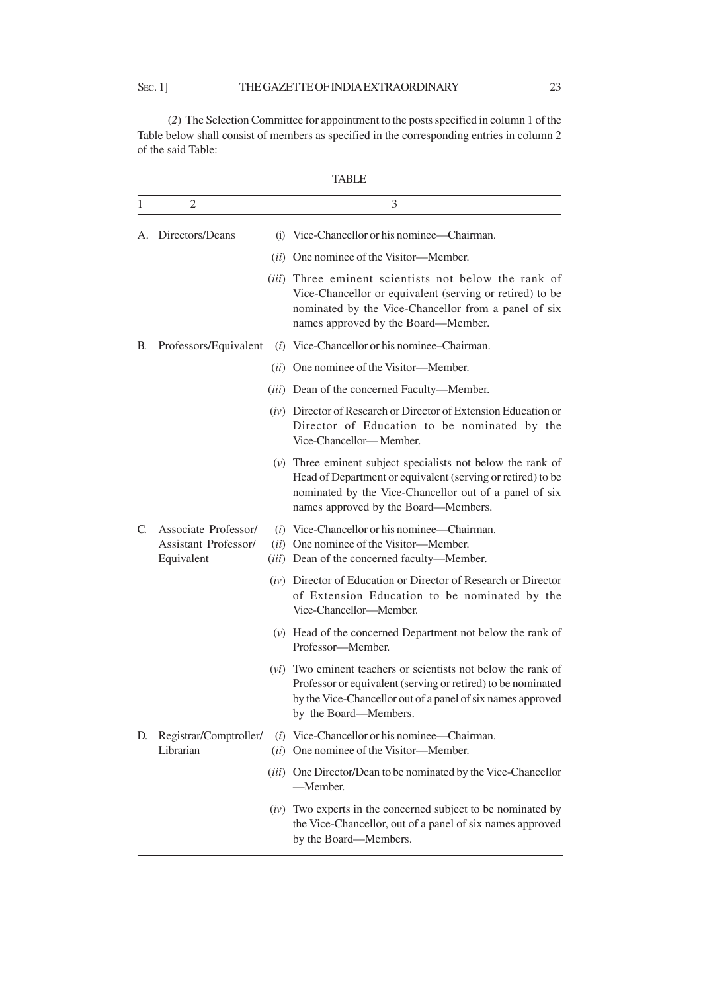(*2*) The Selection Committee for appointment to the posts specified in column 1 of the Table below shall consist of members as specified in the corresponding entries in column 2 of the said Table:

| 1  | 2                                                          | 3                                                                                                                                                                                                                              |
|----|------------------------------------------------------------|--------------------------------------------------------------------------------------------------------------------------------------------------------------------------------------------------------------------------------|
| А. | Directors/Deans                                            | (i) Vice-Chancellor or his nominee—Chairman.                                                                                                                                                                                   |
|    |                                                            | (ii) One nominee of the Visitor—Member.                                                                                                                                                                                        |
|    |                                                            | (iii) Three eminent scientists not below the rank of<br>Vice-Chancellor or equivalent (serving or retired) to be<br>nominated by the Vice-Chancellor from a panel of six<br>names approved by the Board—Member.                |
| В. | Professors/Equivalent                                      | (i) Vice-Chancellor or his nominee-Chairman.                                                                                                                                                                                   |
|    |                                                            | (ii) One nominee of the Visitor—Member.                                                                                                                                                                                        |
|    |                                                            | (iii) Dean of the concerned Faculty-Member.                                                                                                                                                                                    |
|    |                                                            | (iv) Director of Research or Director of Extension Education or<br>Director of Education to be nominated by the<br>Vice-Chancellor-Member.                                                                                     |
|    |                                                            | $(v)$ Three eminent subject specialists not below the rank of<br>Head of Department or equivalent (serving or retired) to be<br>nominated by the Vice-Chancellor out of a panel of six<br>names approved by the Board—Members. |
| C. | Associate Professor/<br>Assistant Professor/<br>Equivalent | $(i)$ Vice-Chancellor or his nominee—Chairman.<br>(ii) One nominee of the Visitor-Member.<br>(iii) Dean of the concerned faculty-Member.                                                                                       |
|    |                                                            | (iv) Director of Education or Director of Research or Director<br>of Extension Education to be nominated by the<br>Vice-Chancellor-Member.                                                                                     |
|    |                                                            | (v) Head of the concerned Department not below the rank of<br>Professor-Member.                                                                                                                                                |
|    |                                                            | ( <i>vi</i> ) Two eminent teachers or scientists not below the rank of<br>Professor or equivalent (serving or retired) to be nominated<br>by the Vice-Chancellor out of a panel of six names approved<br>by the Board-Members. |
| D. | Registrar/Comptroller/<br>Librarian                        | (i) Vice-Chancellor or his nominee—Chairman.<br>(ii) One nominee of the Visitor—Member.                                                                                                                                        |
|    |                                                            | (iii) One Director/Dean to be nominated by the Vice-Chancellor<br>-Member.                                                                                                                                                     |
|    |                                                            | $(iv)$ Two experts in the concerned subject to be nominated by<br>the Vice-Chancellor, out of a panel of six names approved<br>by the Board-Members.                                                                           |

TABLE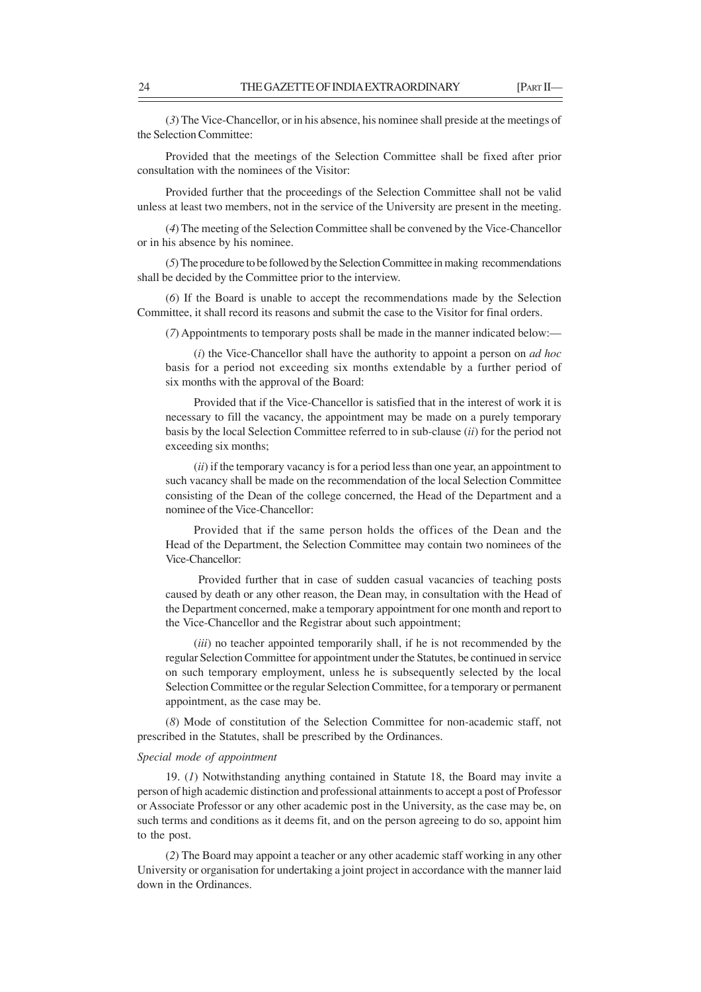(*3*) The Vice-Chancellor, or in his absence, his nominee shall preside at the meetings of the Selection Committee:

Provided that the meetings of the Selection Committee shall be fixed after prior consultation with the nominees of the Visitor:

Provided further that the proceedings of the Selection Committee shall not be valid unless at least two members, not in the service of the University are present in the meeting.

(*4*) The meeting of the Selection Committee shall be convened by the Vice-Chancellor or in his absence by his nominee.

(*5*) The procedure to be followed by the Selection Committee in making recommendations shall be decided by the Committee prior to the interview.

(*6*) If the Board is unable to accept the recommendations made by the Selection Committee, it shall record its reasons and submit the case to the Visitor for final orders.

(*7*) Appointments to temporary posts shall be made in the manner indicated below:—

(*i*) the Vice-Chancellor shall have the authority to appoint a person on *ad hoc* basis for a period not exceeding six months extendable by a further period of six months with the approval of the Board:

Provided that if the Vice-Chancellor is satisfied that in the interest of work it is necessary to fill the vacancy, the appointment may be made on a purely temporary basis by the local Selection Committee referred to in sub-clause (*ii*) for the period not exceeding six months;

(*ii*) if the temporary vacancy is for a period less than one year, an appointment to such vacancy shall be made on the recommendation of the local Selection Committee consisting of the Dean of the college concerned, the Head of the Department and a nominee of the Vice-Chancellor:

Provided that if the same person holds the offices of the Dean and the Head of the Department, the Selection Committee may contain two nominees of the Vice-Chancellor:

 Provided further that in case of sudden casual vacancies of teaching posts caused by death or any other reason, the Dean may, in consultation with the Head of the Department concerned, make a temporary appointment for one month and report to the Vice-Chancellor and the Registrar about such appointment;

(*iii*) no teacher appointed temporarily shall, if he is not recommended by the regular Selection Committee for appointment under the Statutes, be continued in service on such temporary employment, unless he is subsequently selected by the local Selection Committee or the regular Selection Committee, for a temporary or permanent appointment, as the case may be.

(*8*) Mode of constitution of the Selection Committee for non-academic staff, not prescribed in the Statutes, shall be prescribed by the Ordinances.

### *Special mode of appointment*

19. (*1*) Notwithstanding anything contained in Statute 18, the Board may invite a person of high academic distinction and professional attainments to accept a post of Professor or Associate Professor or any other academic post in the University, as the case may be, on such terms and conditions as it deems fit, and on the person agreeing to do so, appoint him to the post.

(*2*) The Board may appoint a teacher or any other academic staff working in any other University or organisation for undertaking a joint project in accordance with the manner laid down in the Ordinances.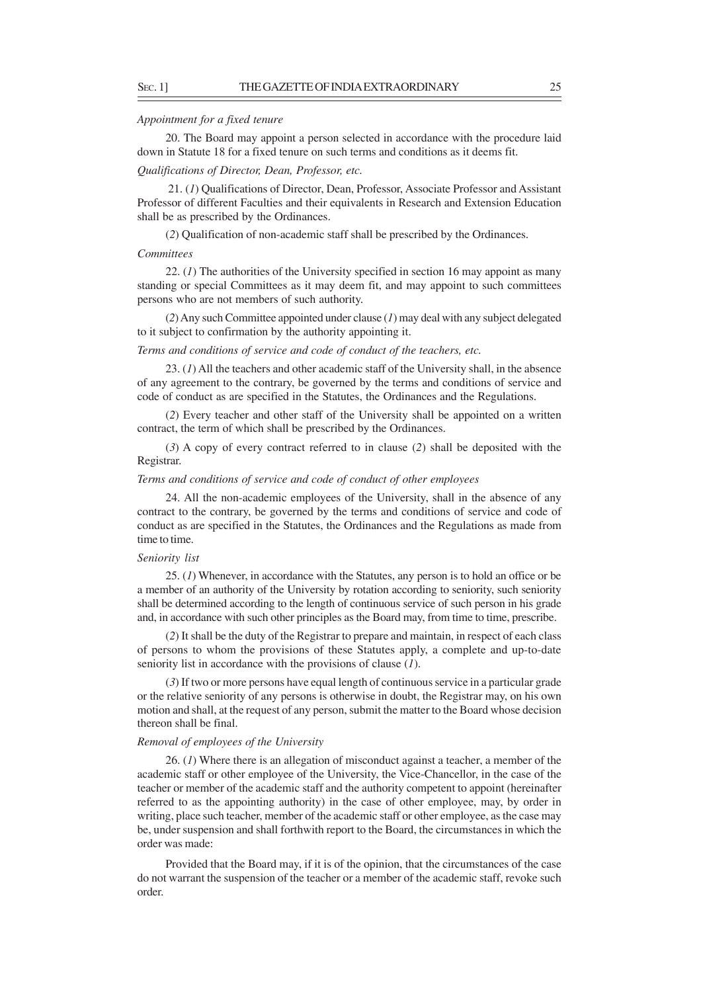#### *Appointment for a fixed tenure*

20. The Board may appoint a person selected in accordance with the procedure laid down in Statute 18 for a fixed tenure on such terms and conditions as it deems fit.

## *Qualifications of Director, Dean, Professor, etc.*

 21. (*1*) Qualifications of Director, Dean, Professor, Associate Professor and Assistant Professor of different Faculties and their equivalents in Research and Extension Education shall be as prescribed by the Ordinances.

(*2*) Qualification of non-academic staff shall be prescribed by the Ordinances.

#### *Committees*

22. (*1*) The authorities of the University specified in section 16 may appoint as many standing or special Committees as it may deem fit, and may appoint to such committees persons who are not members of such authority.

(*2*) Any such Committee appointed under clause (*1*) may deal with any subject delegated to it subject to confirmation by the authority appointing it.

*Terms and conditions of service and code of conduct of the teachers, etc.*

23. (*1*) All the teachers and other academic staff of the University shall, in the absence of any agreement to the contrary, be governed by the terms and conditions of service and code of conduct as are specified in the Statutes, the Ordinances and the Regulations.

(*2*) Every teacher and other staff of the University shall be appointed on a written contract, the term of which shall be prescribed by the Ordinances.

(*3*) A copy of every contract referred to in clause (*2*) shall be deposited with the Registrar.

### *Terms and conditions of service and code of conduct of other employees*

24. All the non-academic employees of the University, shall in the absence of any contract to the contrary, be governed by the terms and conditions of service and code of conduct as are specified in the Statutes, the Ordinances and the Regulations as made from time to time.

#### *Seniority list*

25. (*1*) Whenever, in accordance with the Statutes, any person is to hold an office or be a member of an authority of the University by rotation according to seniority, such seniority shall be determined according to the length of continuous service of such person in his grade and, in accordance with such other principles as the Board may, from time to time, prescribe.

(*2*) It shall be the duty of the Registrar to prepare and maintain, in respect of each class of persons to whom the provisions of these Statutes apply, a complete and up-to-date seniority list in accordance with the provisions of clause (*1*).

(*3*) If two or more persons have equal length of continuous service in a particular grade or the relative seniority of any persons is otherwise in doubt, the Registrar may, on his own motion and shall, at the request of any person, submit the matter to the Board whose decision thereon shall be final.

### *Removal of employees of the University*

26. (*1*) Where there is an allegation of misconduct against a teacher, a member of the academic staff or other employee of the University, the Vice-Chancellor, in the case of the teacher or member of the academic staff and the authority competent to appoint (hereinafter referred to as the appointing authority) in the case of other employee, may, by order in writing, place such teacher, member of the academic staff or other employee, as the case may be, under suspension and shall forthwith report to the Board, the circumstances in which the order was made:

Provided that the Board may, if it is of the opinion, that the circumstances of the case do not warrant the suspension of the teacher or a member of the academic staff, revoke such order.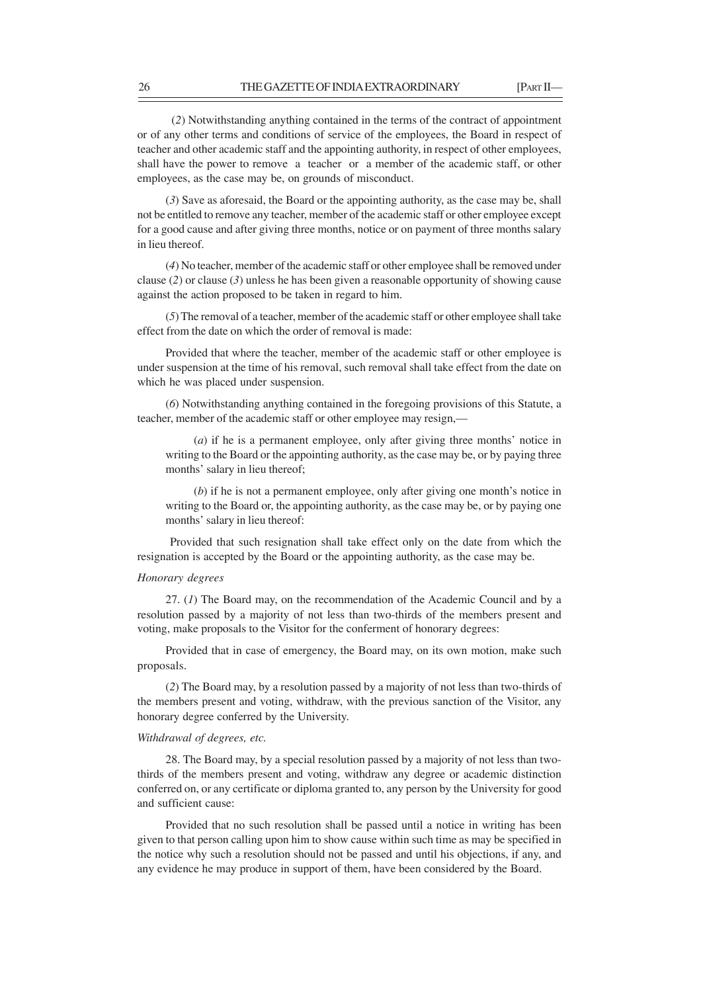(*2*) Notwithstanding anything contained in the terms of the contract of appointment or of any other terms and conditions of service of the employees, the Board in respect of teacher and other academic staff and the appointing authority, in respect of other employees, shall have the power to remove a teacher or a member of the academic staff, or other employees, as the case may be, on grounds of misconduct.

(*3*) Save as aforesaid, the Board or the appointing authority, as the case may be, shall not be entitled to remove any teacher, member of the academic staff or other employee except for a good cause and after giving three months, notice or on payment of three months salary in lieu thereof.

(*4*) No teacher, member of the academic staff or other employee shall be removed under clause (*2*) or clause (*3*) unless he has been given a reasonable opportunity of showing cause against the action proposed to be taken in regard to him.

(*5*) The removal of a teacher, member of the academic staff or other employee shall take effect from the date on which the order of removal is made:

Provided that where the teacher, member of the academic staff or other employee is under suspension at the time of his removal, such removal shall take effect from the date on which he was placed under suspension.

(*6*) Notwithstanding anything contained in the foregoing provisions of this Statute, a teacher, member of the academic staff or other employee may resign,—

(*a*) if he is a permanent employee, only after giving three months' notice in writing to the Board or the appointing authority, as the case may be, or by paying three months' salary in lieu thereof;

(*b*) if he is not a permanent employee, only after giving one month's notice in writing to the Board or, the appointing authority, as the case may be, or by paying one months' salary in lieu thereof:

 Provided that such resignation shall take effect only on the date from which the resignation is accepted by the Board or the appointing authority, as the case may be.

#### *Honorary degrees*

27. (*1*) The Board may, on the recommendation of the Academic Council and by a resolution passed by a majority of not less than two-thirds of the members present and voting, make proposals to the Visitor for the conferment of honorary degrees:

Provided that in case of emergency, the Board may, on its own motion, make such proposals.

(*2*) The Board may, by a resolution passed by a majority of not less than two-thirds of the members present and voting, withdraw, with the previous sanction of the Visitor, any honorary degree conferred by the University.

## *Withdrawal of degrees, etc.*

28. The Board may, by a special resolution passed by a majority of not less than twothirds of the members present and voting, withdraw any degree or academic distinction conferred on, or any certificate or diploma granted to, any person by the University for good and sufficient cause:

Provided that no such resolution shall be passed until a notice in writing has been given to that person calling upon him to show cause within such time as may be specified in the notice why such a resolution should not be passed and until his objections, if any, and any evidence he may produce in support of them, have been considered by the Board.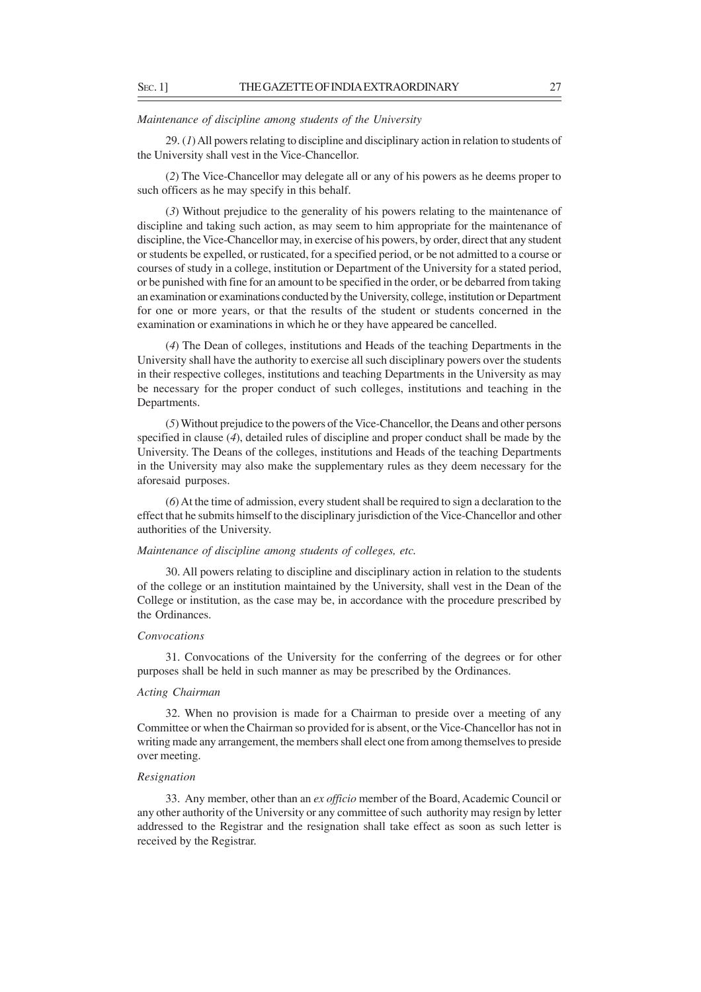#### *Maintenance of discipline among students of the University*

29. (*1*) All powers relating to discipline and disciplinary action in relation to students of the University shall vest in the Vice-Chancellor.

(*2*) The Vice-Chancellor may delegate all or any of his powers as he deems proper to such officers as he may specify in this behalf.

(*3*) Without prejudice to the generality of his powers relating to the maintenance of discipline and taking such action, as may seem to him appropriate for the maintenance of discipline, the Vice-Chancellor may, in exercise of his powers, by order, direct that any student or students be expelled, or rusticated, for a specified period, or be not admitted to a course or courses of study in a college, institution or Department of the University for a stated period, or be punished with fine for an amount to be specified in the order, or be debarred from taking an examination or examinations conducted by the University, college, institution or Department for one or more years, or that the results of the student or students concerned in the examination or examinations in which he or they have appeared be cancelled.

(*4*) The Dean of colleges, institutions and Heads of the teaching Departments in the University shall have the authority to exercise all such disciplinary powers over the students in their respective colleges, institutions and teaching Departments in the University as may be necessary for the proper conduct of such colleges, institutions and teaching in the Departments.

(*5*) Without prejudice to the powers of the Vice-Chancellor, the Deans and other persons specified in clause (*4*), detailed rules of discipline and proper conduct shall be made by the University. The Deans of the colleges, institutions and Heads of the teaching Departments in the University may also make the supplementary rules as they deem necessary for the aforesaid purposes.

(*6*) At the time of admission, every student shall be required to sign a declaration to the effect that he submits himself to the disciplinary jurisdiction of the Vice-Chancellor and other authorities of the University.

## *Maintenance of discipline among students of colleges, etc.*

30. All powers relating to discipline and disciplinary action in relation to the students of the college or an institution maintained by the University, shall vest in the Dean of the College or institution, as the case may be, in accordance with the procedure prescribed by the Ordinances.

#### *Convocations*

31. Convocations of the University for the conferring of the degrees or for other purposes shall be held in such manner as may be prescribed by the Ordinances.

### *Acting Chairman*

32. When no provision is made for a Chairman to preside over a meeting of any Committee or when the Chairman so provided for is absent, or the Vice-Chancellor has not in writing made any arrangement, the members shall elect one from among themselves to preside over meeting.

### *Resignation*

33. Any member, other than an *ex officio* member of the Board, Academic Council or any other authority of the University or any committee of such authority may resign by letter addressed to the Registrar and the resignation shall take effect as soon as such letter is received by the Registrar.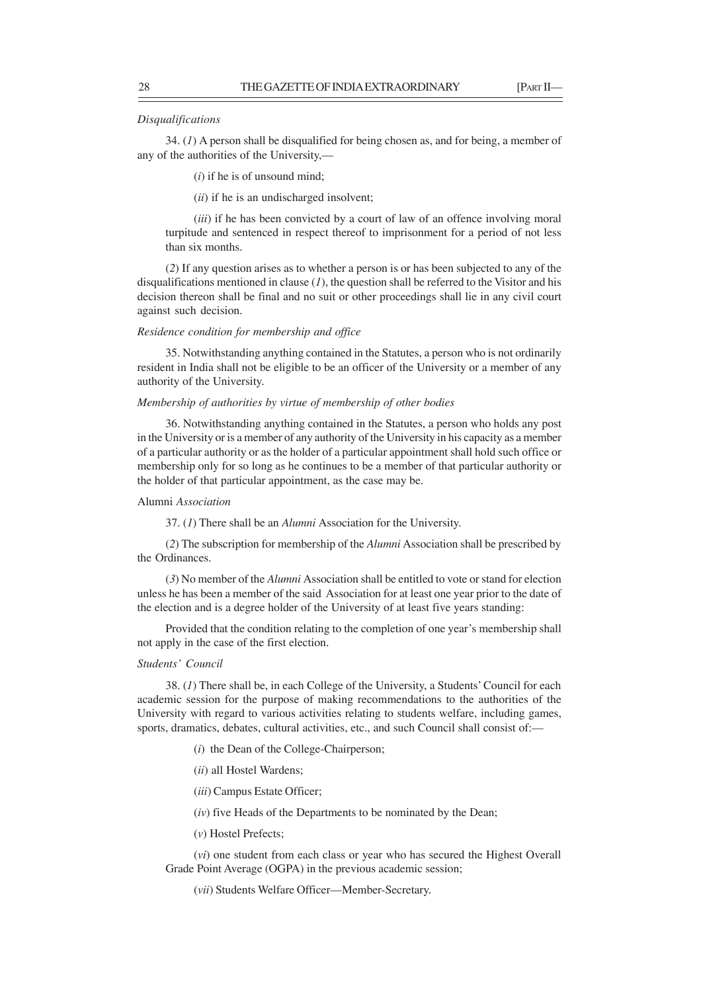#### *Disqualifications*

34. (*1*) A person shall be disqualified for being chosen as, and for being, a member of any of the authorities of the University,—

(*i*) if he is of unsound mind;

(*ii*) if he is an undischarged insolvent;

(*iii*) if he has been convicted by a court of law of an offence involving moral turpitude and sentenced in respect thereof to imprisonment for a period of not less than six months.

(*2*) If any question arises as to whether a person is or has been subjected to any of the disqualifications mentioned in clause (*1*), the question shall be referred to the Visitor and his decision thereon shall be final and no suit or other proceedings shall lie in any civil court against such decision.

### *Residence condition for membership and office*

35. Notwithstanding anything contained in the Statutes, a person who is not ordinarily resident in India shall not be eligible to be an officer of the University or a member of any authority of the University.

#### *Membership of authorities by virtue of membership of other bodies*

36. Notwithstanding anything contained in the Statutes, a person who holds any post in the University or is a member of any authority of the University in his capacity as a member of a particular authority or as the holder of a particular appointment shall hold such office or membership only for so long as he continues to be a member of that particular authority or the holder of that particular appointment, as the case may be.

#### Alumni *Association*

37. (*1*) There shall be an *Alumni* Association for the University.

(*2*) The subscription for membership of the *Alumni* Association shall be prescribed by the Ordinances.

(*3*) No member of the *Alumni* Association shall be entitled to vote or stand for election unless he has been a member of the said Association for at least one year prior to the date of the election and is a degree holder of the University of at least five years standing:

Provided that the condition relating to the completion of one year's membership shall not apply in the case of the first election.

### *Students' Council*

38. (*1*) There shall be, in each College of the University, a Students' Council for each academic session for the purpose of making recommendations to the authorities of the University with regard to various activities relating to students welfare, including games, sports, dramatics, debates, cultural activities, etc., and such Council shall consist of:—

(*i*) the Dean of the College-Chairperson;

- (*ii*) all Hostel Wardens;
- (*iii*) Campus Estate Officer;

(*iv*) five Heads of the Departments to be nominated by the Dean;

(*v*) Hostel Prefects;

(*vi*) one student from each class or year who has secured the Highest Overall Grade Point Average (OGPA) in the previous academic session;

(*vii*) Students Welfare Officer—Member-Secretary.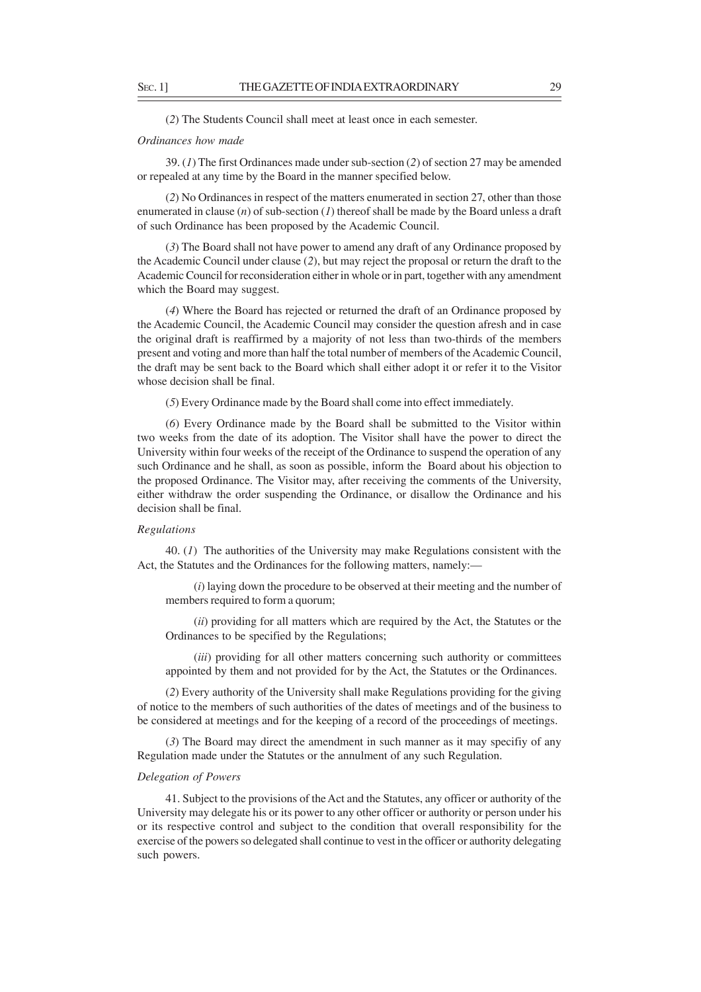(*2*) The Students Council shall meet at least once in each semester.

#### *Ordinances how made*

39. (*1*) The first Ordinances made under sub-section (*2*) of section 27 may be amended or repealed at any time by the Board in the manner specified below.

(*2*) No Ordinances in respect of the matters enumerated in section 27, other than those enumerated in clause (*n*) of sub-section (*1*) thereof shall be made by the Board unless a draft of such Ordinance has been proposed by the Academic Council.

(*3*) The Board shall not have power to amend any draft of any Ordinance proposed by the Academic Council under clause (*2*), but may reject the proposal or return the draft to the Academic Council for reconsideration either in whole or in part, together with any amendment which the Board may suggest.

(*4*) Where the Board has rejected or returned the draft of an Ordinance proposed by the Academic Council, the Academic Council may consider the question afresh and in case the original draft is reaffirmed by a majority of not less than two-thirds of the members present and voting and more than half the total number of members of the Academic Council, the draft may be sent back to the Board which shall either adopt it or refer it to the Visitor whose decision shall be final.

(*5*) Every Ordinance made by the Board shall come into effect immediately.

(*6*) Every Ordinance made by the Board shall be submitted to the Visitor within two weeks from the date of its adoption. The Visitor shall have the power to direct the University within four weeks of the receipt of the Ordinance to suspend the operation of any such Ordinance and he shall, as soon as possible, inform the Board about his objection to the proposed Ordinance. The Visitor may, after receiving the comments of the University, either withdraw the order suspending the Ordinance, or disallow the Ordinance and his decision shall be final.

#### *Regulations*

40. (*1*)The authorities of the University may make Regulations consistent with the Act, the Statutes and the Ordinances for the following matters, namely:—

(*i*) laying down the procedure to be observed at their meeting and the number of members required to form a quorum;

(*ii*) providing for all matters which are required by the Act, the Statutes or the Ordinances to be specified by the Regulations;

(*iii*) providing for all other matters concerning such authority or committees appointed by them and not provided for by the Act, the Statutes or the Ordinances.

(*2*) Every authority of the University shall make Regulations providing for the giving of notice to the members of such authorities of the dates of meetings and of the business to be considered at meetings and for the keeping of a record of the proceedings of meetings.

(*3*) The Board may direct the amendment in such manner as it may specifiy of any Regulation made under the Statutes or the annulment of any such Regulation.

### *Delegation of Powers*

41. Subject to the provisions of the Act and the Statutes, any officer or authority of the University may delegate his or its power to any other officer or authority or person under his or its respective control and subject to the condition that overall responsibility for the exercise of the powers so delegated shall continue to vest in the officer or authority delegating such powers.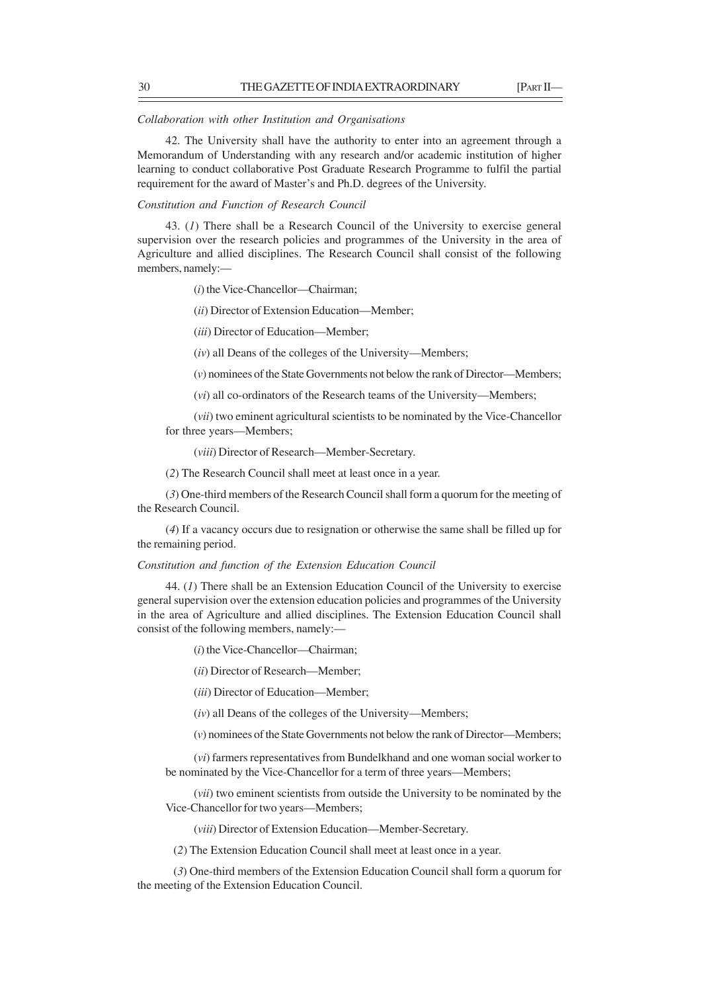## *Collaboration with other Institution and Organisations*

42. The University shall have the authority to enter into an agreement through a Memorandum of Understanding with any research and/or academic institution of higher learning to conduct collaborative Post Graduate Research Programme to fulfil the partial requirement for the award of Master's and Ph.D. degrees of the University.

#### *Constitution and Function of Research Council*

43. (*1*) There shall be a Research Council of the University to exercise general supervision over the research policies and programmes of the University in the area of Agriculture and allied disciplines. The Research Council shall consist of the following members, namely:—

(*i*) the Vice-Chancellor—Chairman;

(*ii*) Director of Extension Education—Member;

(*iii*) Director of Education—Member;

(*iv*) all Deans of the colleges of the University—Members;

(*v*) nominees of the State Governments not below the rank of Director—Members;

(*vi*) all co-ordinators of the Research teams of the University—Members;

(*vii*) two eminent agricultural scientists to be nominated by the Vice-Chancellor for three years—Members;

(*viii*) Director of Research—Member-Secretary.

(*2*) The Research Council shall meet at least once in a year.

(*3*) One-third members of the Research Council shall form a quorum for the meeting of the Research Council.

(*4*) If a vacancy occurs due to resignation or otherwise the same shall be filled up for the remaining period.

#### *Constitution and function of the Extension Education Council*

44. (*1*) There shall be an Extension Education Council of the University to exercise general supervision over the extension education policies and programmes of the University in the area of Agriculture and allied disciplines. The Extension Education Council shall consist of the following members, namely:—

(*i*) the Vice-Chancellor—Chairman;

(*ii*) Director of Research—Member;

(*iii*) Director of Education—Member;

(*iv*) all Deans of the colleges of the University—Members;

(*v*) nominees of the State Governments not below the rank of Director—Members;

(*vi*) farmers representatives from Bundelkhand and one woman social worker to be nominated by the Vice-Chancellor for a term of three years—Members;

(*vii*) two eminent scientists from outside the University to be nominated by the Vice-Chancellor for two years—Members;

(*viii*) Director of Extension Education—Member-Secretary.

(*2*) The Extension Education Council shall meet at least once in a year.

 (*3*) One-third members of the Extension Education Council shall form a quorum for the meeting of the Extension Education Council.